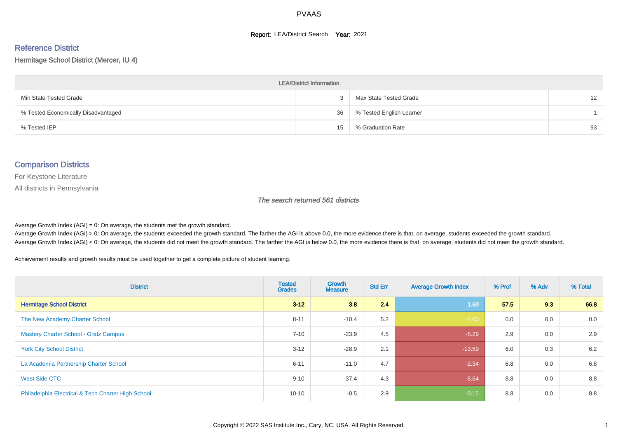#### **Report: LEA/District Search Year: 2021**

# Reference District

#### Hermitage School District (Mercer, IU 4)

| <b>LEA/District Information</b>     |    |                          |                 |  |  |  |  |  |  |  |
|-------------------------------------|----|--------------------------|-----------------|--|--|--|--|--|--|--|
| Min State Tested Grade              | ۰C | Max State Tested Grade   | 12 <sup>2</sup> |  |  |  |  |  |  |  |
| % Tested Economically Disadvantaged | 36 | % Tested English Learner |                 |  |  |  |  |  |  |  |
| % Tested IEP                        | 15 | % Graduation Rate        | 93              |  |  |  |  |  |  |  |

#### Comparison Districts

For Keystone Literature

All districts in Pennsylvania

The search returned 561 districts

Average Growth Index  $(AGI) = 0$ : On average, the students met the growth standard.

Average Growth Index (AGI) > 0: On average, the students exceeded the growth standard. The farther the AGI is above 0.0, the more evidence there is that, on average, students exceeded the growth standard. Average Growth Index (AGI) < 0: On average, the students did not meet the growth standard. The farther the AGI is below 0.0, the more evidence there is that, on average, students did not meet the growth standard.

Achievement results and growth results must be used together to get a complete picture of student learning.

| <b>District</b>                                    | <b>Tested</b><br><b>Grades</b> | <b>Growth</b><br><b>Measure</b> | <b>Std Err</b> | <b>Average Growth Index</b> | % Prof | % Adv | % Total |
|----------------------------------------------------|--------------------------------|---------------------------------|----------------|-----------------------------|--------|-------|---------|
| <b>Hermitage School District</b>                   | $3 - 12$                       | 3.8                             | 2.4            | 1.60                        | 57.5   | 9.3   | 66.8    |
| The New Academy Charter School                     | $8 - 11$                       | $-10.4$                         | 5.2            | $-2.00$                     | 0.0    | 0.0   | 0.0     |
| <b>Mastery Charter School - Gratz Campus</b>       | $7 - 10$                       | $-23.9$                         | 4.5            | $-5.29$                     | 2.9    | 0.0   | 2.9     |
| <b>York City School District</b>                   | $3 - 12$                       | $-28.9$                         | 2.1            | $-13.59$                    | 6.0    | 0.3   | 6.2     |
| La Academia Partnership Charter School             | $6 - 11$                       | $-11.0$                         | 4.7            | $-2.34$                     | 6.8    | 0.0   | 6.8     |
| West Side CTC                                      | $9 - 10$                       | $-37.4$                         | 4.3            | $-8.64$                     | 8.8    | 0.0   | 8.8     |
| Philadelphia Electrical & Tech Charter High School | $10 - 10$                      | $-0.5$                          | 2.9            | $-0.15$                     | 8.8    | 0.0   | 8.8     |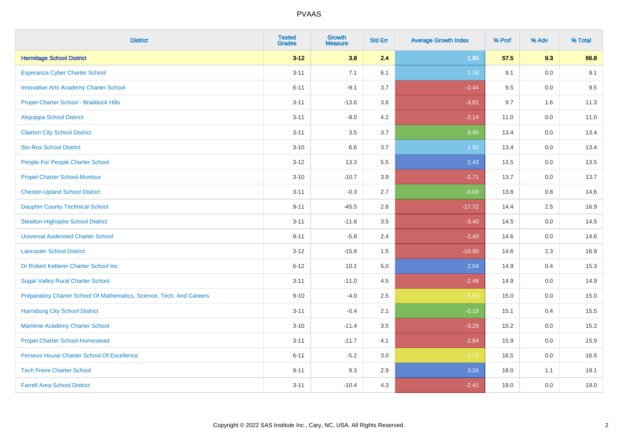| <b>District</b>                                                       | <b>Tested</b><br><b>Grades</b> | <b>Growth</b><br><b>Measure</b> | <b>Std Err</b> | <b>Average Growth Index</b> | % Prof | % Adv | % Total |
|-----------------------------------------------------------------------|--------------------------------|---------------------------------|----------------|-----------------------------|--------|-------|---------|
| <b>Hermitage School District</b>                                      | $3 - 12$                       | 3.8                             | 2.4            | 1.60                        | 57.5   | 9.3   | 66.8    |
| <b>Esperanza Cyber Charter School</b>                                 | $3 - 11$                       | 7.1                             | 6.1            | $1.16$                      | 9.1    | 0.0   | 9.1     |
| <b>Innovative Arts Academy Charter School</b>                         | $6 - 11$                       | $-9.1$                          | 3.7            | $-2.44$                     | 9.5    | 0.0   | 9.5     |
| Propel Charter School - Braddock Hills                                | $3 - 11$                       | $-13.6$                         | 3.6            | $-3.81$                     | 9.7    | 1.6   | 11.3    |
| <b>Aliquippa School District</b>                                      | $3 - 11$                       | $-9.0$                          | 4.2            | $-2.14$                     | 11.0   | 0.0   | 11.0    |
| <b>Clairton City School District</b>                                  | $3 - 11$                       | 3.5                             | 3.7            | 0.95                        | 13.4   | 0.0   | 13.4    |
| <b>Sto-Rox School District</b>                                        | $3 - 10$                       | 6.6                             | 3.7            | 1.80                        | 13.4   | 0.0   | 13.4    |
| People For People Charter School                                      | $3 - 12$                       | 13.3                            | 5.5            | 2.43                        | 13.5   | 0.0   | 13.5    |
| <b>Propel Charter School-Montour</b>                                  | $3 - 10$                       | $-10.7$                         | 3.9            | $-2.71$                     | 13.7   | 0.0   | 13.7    |
| <b>Chester-Upland School District</b>                                 | $3 - 11$                       | $-0.3$                          | 2.7            | $-0.09$                     | 13.8   | 0.8   | 14.6    |
| <b>Dauphin County Technical School</b>                                | $9 - 11$                       | $-45.5$                         | 2.6            | $-17.72$                    | 14.4   | 2.5   | 16.9    |
| <b>Steelton-Highspire School District</b>                             | $3 - 11$                       | $-11.8$                         | 3.5            | $-3.40$                     | 14.5   | 0.0   | 14.5    |
| <b>Universal Audenried Charter School</b>                             | $9 - 11$                       | $-5.8$                          | 2.4            | $-2.40$                     | 14.6   | 0.0   | 14.6    |
| <b>Lancaster School District</b>                                      | $3 - 12$                       | $-15.8$                         | 1.5            | $-10.90$                    | 14.6   | 2.3   | 16.9    |
| Dr Robert Ketterer Charter School Inc                                 | $6 - 12$                       | 10.1                            | 5.0            | 2.04                        | 14.9   | 0.4   | 15.3    |
| <b>Sugar Valley Rural Charter School</b>                              | $3 - 11$                       | $-11.0$                         | 4.5            | $-2.46$                     | 14.9   | 0.0   | 14.9    |
| Preparatory Charter School Of Mathematics, Science, Tech, And Careers | $9 - 10$                       | $-4.0$                          | 2.5            | $-1.59$                     | 15.0   | 0.0   | 15.0    |
| <b>Harrisburg City School District</b>                                | $3 - 11$                       | $-0.4$                          | 2.1            | $-0.19$                     | 15.1   | 0.4   | 15.5    |
| Maritime Academy Charter School                                       | $3 - 10$                       | $-11.4$                         | 3.5            | $-3.29$                     | 15.2   | 0.0   | 15.2    |
| <b>Propel Charter School-Homestead</b>                                | $3 - 11$                       | $-11.7$                         | 4.1            | $-2.84$                     | 15.9   | 0.0   | 15.9    |
| Perseus House Charter School Of Excellence                            | $6 - 11$                       | $-5.2$                          | 3.0            | $-1.72$                     | 16.5   | 0.0   | 16.5    |
| <b>Tech Freire Charter School</b>                                     | $9 - 11$                       | 9.3                             | 2.9            | 3.26                        | 18.0   | 1.1   | 19.1    |
| <b>Farrell Area School District</b>                                   | $3 - 11$                       | $-10.4$                         | 4.3            | $-2.41$                     | 19.0   | 0.0   | 19.0    |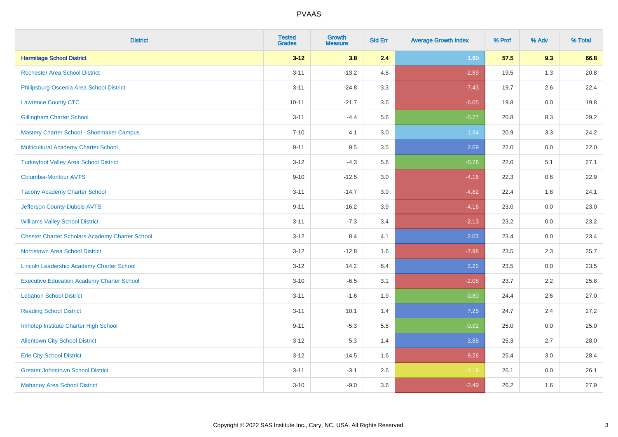| <b>District</b>                                        | <b>Tested</b><br><b>Grades</b> | Growth<br><b>Measure</b> | <b>Std Err</b> | <b>Average Growth Index</b> | % Prof | % Adv   | % Total |
|--------------------------------------------------------|--------------------------------|--------------------------|----------------|-----------------------------|--------|---------|---------|
| <b>Hermitage School District</b>                       | $3 - 12$                       | 3.8                      | 2.4            | 1.60                        | 57.5   | 9.3     | 66.8    |
| <b>Rochester Area School District</b>                  | $3 - 11$                       | $-13.2$                  | 4.6            | $-2.89$                     | 19.5   | 1.3     | 20.8    |
| Philipsburg-Osceola Area School District               | $3 - 11$                       | $-24.8$                  | 3.3            | $-7.43$                     | 19.7   | 2.6     | 22.4    |
| <b>Lawrence County CTC</b>                             | $10 - 11$                      | $-21.7$                  | 3.6            | $-6.05$                     | 19.8   | 0.0     | 19.8    |
| <b>Gillingham Charter School</b>                       | $3 - 11$                       | $-4.4$                   | 5.6            | $-0.77$                     | 20.8   | 8.3     | 29.2    |
| Mastery Charter School - Shoemaker Campus              | $7 - 10$                       | 4.1                      | 3.0            | 1.34                        | 20.9   | 3.3     | 24.2    |
| Multicultural Academy Charter School                   | $9 - 11$                       | 9.5                      | $3.5\,$        | 2.69                        | 22.0   | $0.0\,$ | 22.0    |
| <b>Turkeyfoot Valley Area School District</b>          | $3 - 12$                       | $-4.3$                   | 5.6            | $-0.76$                     | 22.0   | 5.1     | 27.1    |
| <b>Columbia-Montour AVTS</b>                           | $9 - 10$                       | $-12.5$                  | 3.0            | $-4.16$                     | 22.3   | 0.6     | 22.9    |
| <b>Tacony Academy Charter School</b>                   | $3 - 11$                       | $-14.7$                  | 3.0            | $-4.82$                     | 22.4   | 1.8     | 24.1    |
| Jefferson County-Dubois AVTS                           | $9 - 11$                       | $-16.2$                  | 3.9            | $-4.16$                     | 23.0   | 0.0     | 23.0    |
| <b>Williams Valley School District</b>                 | $3 - 11$                       | $-7.3$                   | 3.4            | $-2.13$                     | 23.2   | 0.0     | 23.2    |
| <b>Chester Charter Scholars Academy Charter School</b> | $3 - 12$                       | 8.4                      | 4.1            | 2.03                        | 23.4   | 0.0     | 23.4    |
| <b>Norristown Area School District</b>                 | $3 - 12$                       | $-12.8$                  | 1.6            | $-7.98$                     | 23.5   | 2.3     | 25.7    |
| Lincoln Leadership Academy Charter School              | $3 - 12$                       | 14.2                     | 6.4            | 2.22                        | 23.5   | 0.0     | 23.5    |
| <b>Executive Education Academy Charter School</b>      | $3 - 10$                       | $-6.5$                   | 3.1            | $-2.08$                     | 23.7   | 2.2     | 25.8    |
| <b>Lebanon School District</b>                         | $3 - 11$                       | $-1.6$                   | 1.9            | $-0.80$                     | 24.4   | 2.6     | 27.0    |
| <b>Reading School District</b>                         | $3 - 11$                       | 10.1                     | 1.4            | 7.25                        | 24.7   | 2.4     | 27.2    |
| Imhotep Institute Charter High School                  | $9 - 11$                       | $-5.3$                   | 5.8            | $-0.92$                     | 25.0   | 0.0     | 25.0    |
| <b>Allentown City School District</b>                  | $3 - 12$                       | 5.3                      | 1.4            | 3.88                        | 25.3   | 2.7     | 28.0    |
| <b>Erie City School District</b>                       | $3 - 12$                       | $-14.5$                  | 1.6            | $-9.26$                     | 25.4   | 3.0     | 28.4    |
| <b>Greater Johnstown School District</b>               | $3 - 11$                       | $-3.1$                   | 2.6            | $-1.19$                     | 26.1   | 0.0     | 26.1    |
| <b>Mahanoy Area School District</b>                    | $3 - 10$                       | $-9.0$                   | 3.6            | $-2.49$                     | 26.2   | 1.6     | 27.9    |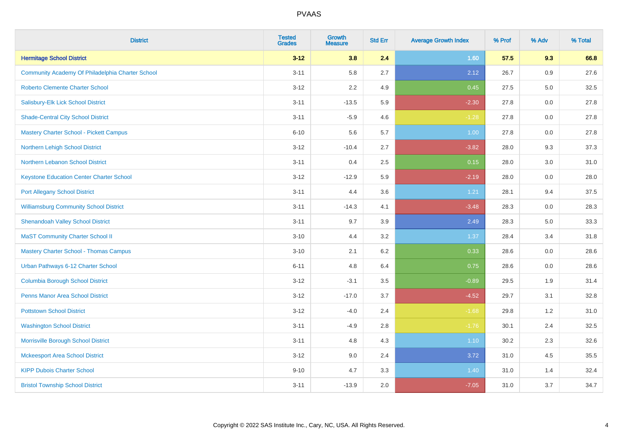| <b>District</b>                                  | <b>Tested</b><br><b>Grades</b> | <b>Growth</b><br><b>Measure</b> | <b>Std Err</b> | <b>Average Growth Index</b> | % Prof | % Adv | % Total |
|--------------------------------------------------|--------------------------------|---------------------------------|----------------|-----------------------------|--------|-------|---------|
| <b>Hermitage School District</b>                 | $3 - 12$                       | 3.8                             | 2.4            | 1.60                        | 57.5   | 9.3   | 66.8    |
| Community Academy Of Philadelphia Charter School | $3 - 11$                       | 5.8                             | 2.7            | 2.12                        | 26.7   | 0.9   | 27.6    |
| <b>Roberto Clemente Charter School</b>           | $3 - 12$                       | 2.2                             | 4.9            | 0.45                        | 27.5   | 5.0   | 32.5    |
| Salisbury-Elk Lick School District               | $3 - 11$                       | $-13.5$                         | 5.9            | $-2.30$                     | 27.8   | 0.0   | 27.8    |
| <b>Shade-Central City School District</b>        | $3 - 11$                       | $-5.9$                          | 4.6            | $-1.28$                     | 27.8   | 0.0   | 27.8    |
| <b>Mastery Charter School - Pickett Campus</b>   | $6 - 10$                       | 5.6                             | 5.7            | 1.00                        | 27.8   | 0.0   | 27.8    |
| Northern Lehigh School District                  | $3 - 12$                       | $-10.4$                         | 2.7            | $-3.82$                     | 28.0   | 9.3   | 37.3    |
| Northern Lebanon School District                 | $3 - 11$                       | 0.4                             | 2.5            | 0.15                        | 28.0   | 3.0   | 31.0    |
| <b>Keystone Education Center Charter School</b>  | $3 - 12$                       | $-12.9$                         | 5.9            | $-2.19$                     | 28.0   | 0.0   | 28.0    |
| <b>Port Allegany School District</b>             | $3 - 11$                       | 4.4                             | 3.6            | 1.21                        | 28.1   | 9.4   | 37.5    |
| <b>Williamsburg Community School District</b>    | $3 - 11$                       | $-14.3$                         | 4.1            | $-3.48$                     | 28.3   | 0.0   | 28.3    |
| <b>Shenandoah Valley School District</b>         | $3 - 11$                       | 9.7                             | 3.9            | 2.49                        | 28.3   | 5.0   | 33.3    |
| <b>MaST Community Charter School II</b>          | $3 - 10$                       | 4.4                             | 3.2            | 1.37                        | 28.4   | 3.4   | 31.8    |
| <b>Mastery Charter School - Thomas Campus</b>    | $3 - 10$                       | 2.1                             | 6.2            | 0.33                        | 28.6   | 0.0   | 28.6    |
| Urban Pathways 6-12 Charter School               | $6 - 11$                       | 4.8                             | 6.4            | 0.75                        | 28.6   | 0.0   | 28.6    |
| <b>Columbia Borough School District</b>          | $3 - 12$                       | $-3.1$                          | 3.5            | $-0.89$                     | 29.5   | 1.9   | 31.4    |
| <b>Penns Manor Area School District</b>          | $3 - 12$                       | $-17.0$                         | 3.7            | $-4.52$                     | 29.7   | 3.1   | 32.8    |
| <b>Pottstown School District</b>                 | $3 - 12$                       | $-4.0$                          | 2.4            | $-1.68$                     | 29.8   | 1.2   | 31.0    |
| <b>Washington School District</b>                | $3 - 11$                       | $-4.9$                          | 2.8            | $-1.76$                     | 30.1   | 2.4   | 32.5    |
| Morrisville Borough School District              | $3 - 11$                       | 4.8                             | 4.3            | $1.10$                      | 30.2   | 2.3   | 32.6    |
| <b>Mckeesport Area School District</b>           | $3 - 12$                       | 9.0                             | 2.4            | 3.72                        | 31.0   | 4.5   | 35.5    |
| <b>KIPP Dubois Charter School</b>                | $9 - 10$                       | 4.7                             | 3.3            | 1.40                        | 31.0   | 1.4   | 32.4    |
| <b>Bristol Township School District</b>          | $3 - 11$                       | $-13.9$                         | 2.0            | $-7.05$                     | 31.0   | 3.7   | 34.7    |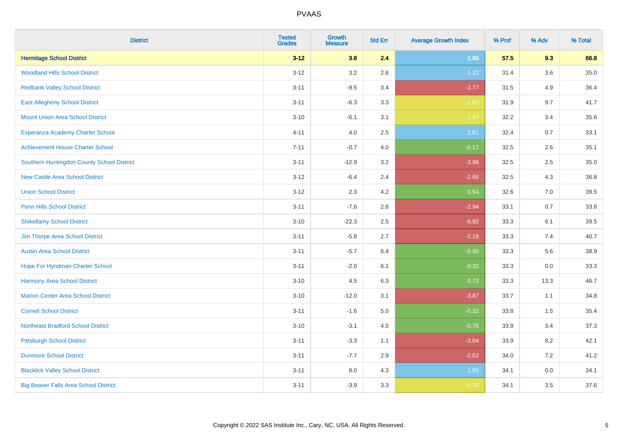| <b>District</b>                              | <b>Tested</b><br><b>Grades</b> | <b>Growth</b><br><b>Measure</b> | <b>Std Err</b> | <b>Average Growth Index</b> | % Prof | % Adv   | % Total  |
|----------------------------------------------|--------------------------------|---------------------------------|----------------|-----------------------------|--------|---------|----------|
| <b>Hermitage School District</b>             | $3 - 12$                       | 3.8                             | 2.4            | 1.60                        | 57.5   | 9.3     | 66.8     |
| <b>Woodland Hills School District</b>        | $3 - 12$                       | 3.2                             | 2.6            | 1.22                        | 31.4   | $3.6\,$ | $35.0\,$ |
| <b>Redbank Valley School District</b>        | $3 - 11$                       | $-9.5$                          | 3.4            | $-2.77$                     | 31.5   | 4.9     | 36.4     |
| <b>East Allegheny School District</b>        | $3 - 11$                       | $-6.3$                          | 3.3            | $-1.87$                     | 31.9   | 9.7     | 41.7     |
| <b>Mount Union Area School District</b>      | $3 - 10$                       | $-6.1$                          | 3.1            | $-1.97$                     | 32.2   | 3.4     | 35.6     |
| Esperanza Academy Charter School             | $4 - 11$                       | 4.0                             | 2.5            | 1.61                        | 32.4   | 0.7     | 33.1     |
| <b>Achievement House Charter School</b>      | $7 - 11$                       | $-0.7$                          | 4.0            | $-0.17$                     | 32.5   | 2.6     | 35.1     |
| Southern Huntingdon County School District   | $3 - 11$                       | $-12.9$                         | 3.2            | $-3.98$                     | 32.5   | 2.5     | 35.0     |
| <b>New Castle Area School District</b>       | $3 - 12$                       | $-6.4$                          | 2.4            | $-2.66$                     | 32.5   | 4.3     | 36.8     |
| <b>Union School District</b>                 | $3 - 12$                       | 2.3                             | 4.2            | 0.54                        | 32.6   | 7.0     | 39.5     |
| <b>Penn Hills School District</b>            | $3 - 11$                       | $-7.6$                          | 2.6            | $-2.94$                     | 33.1   | 0.7     | 33.8     |
| <b>Shikellamy School District</b>            | $3 - 10$                       | $-22.3$                         | 2.5            | $-8.92$                     | 33.3   | 6.1     | 39.5     |
| Jim Thorpe Area School District              | $3 - 11$                       | $-5.8$                          | 2.7            | $-2.19$                     | 33.3   | 7.4     | 40.7     |
| <b>Austin Area School District</b>           | $3 - 11$                       | $-5.7$                          | 6.4            | $-0.90$                     | 33.3   | 5.6     | 38.9     |
| Hope For Hyndman Charter School              | $3 - 11$                       | $-2.0$                          | 6.1            | $-0.32$                     | 33.3   | 0.0     | 33.3     |
| Harmony Area School District                 | $3 - 10$                       | 4.5                             | 6.3            | 0.72                        | 33.3   | 13.3    | 46.7     |
| <b>Marion Center Area School District</b>    | $3 - 10$                       | $-12.0$                         | 3.1            | $-3.87$                     | 33.7   | 1.1     | 34.8     |
| <b>Cornell School District</b>               | $3 - 11$                       | $-1.6$                          | 5.0            | $-0.32$                     | 33.8   | 1.5     | 35.4     |
| <b>Northeast Bradford School District</b>    | $3 - 10$                       | $-3.1$                          | $4.0\,$        | $-0.78$                     | 33.9   | 3.4     | 37.3     |
| <b>Pittsburgh School District</b>            | $3 - 11$                       | $-3.3$                          | 1.1            | $-3.04$                     | 33.9   | 8.2     | 42.1     |
| <b>Dunmore School District</b>               | $3 - 11$                       | $-7.7$                          | 2.9            | $-2.62$                     | 34.0   | 7.2     | 41.2     |
| <b>Blacklick Valley School District</b>      | $3 - 11$                       | 8.0                             | 4.3            | 1.85                        | 34.1   | 0.0     | 34.1     |
| <b>Big Beaver Falls Area School District</b> | $3 - 11$                       | $-3.9$                          | 3.3            | $-1.18$                     | 34.1   | 3.5     | 37.6     |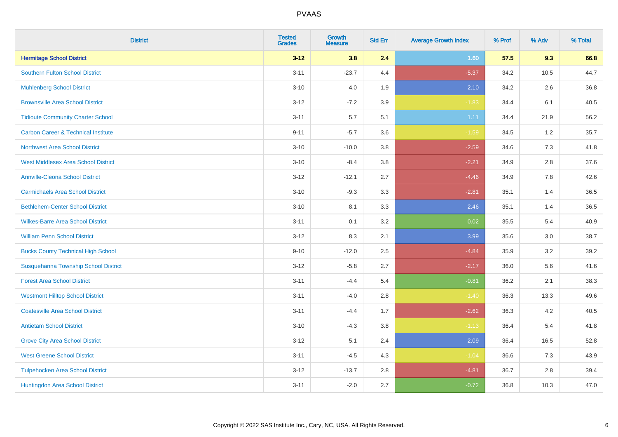| <b>District</b>                                | <b>Tested</b><br><b>Grades</b> | <b>Growth</b><br><b>Measure</b> | <b>Std Err</b> | <b>Average Growth Index</b> | % Prof | % Adv | % Total |
|------------------------------------------------|--------------------------------|---------------------------------|----------------|-----------------------------|--------|-------|---------|
| <b>Hermitage School District</b>               | $3 - 12$                       | 3.8                             | 2.4            | 1.60                        | 57.5   | 9.3   | 66.8    |
| <b>Southern Fulton School District</b>         | $3 - 11$                       | $-23.7$                         | 4.4            | $-5.37$                     | 34.2   | 10.5  | 44.7    |
| <b>Muhlenberg School District</b>              | $3 - 10$                       | 4.0                             | 1.9            | 2.10                        | 34.2   | 2.6   | 36.8    |
| <b>Brownsville Area School District</b>        | $3-12$                         | $-7.2$                          | 3.9            | $-1.83$                     | 34.4   | 6.1   | 40.5    |
| <b>Tidioute Community Charter School</b>       | $3 - 11$                       | 5.7                             | 5.1            | 1.11                        | 34.4   | 21.9  | 56.2    |
| <b>Carbon Career &amp; Technical Institute</b> | $9 - 11$                       | $-5.7$                          | 3.6            | $-1.59$                     | 34.5   | 1.2   | 35.7    |
| Northwest Area School District                 | $3 - 10$                       | $-10.0$                         | 3.8            | $-2.59$                     | 34.6   | 7.3   | 41.8    |
| <b>West Middlesex Area School District</b>     | $3 - 10$                       | $-8.4$                          | 3.8            | $-2.21$                     | 34.9   | 2.8   | 37.6    |
| <b>Annville-Cleona School District</b>         | $3 - 12$                       | $-12.1$                         | 2.7            | $-4.46$                     | 34.9   | 7.8   | 42.6    |
| <b>Carmichaels Area School District</b>        | $3 - 10$                       | $-9.3$                          | 3.3            | $-2.81$                     | 35.1   | 1.4   | 36.5    |
| <b>Bethlehem-Center School District</b>        | $3 - 10$                       | 8.1                             | 3.3            | 2.46                        | 35.1   | 1.4   | 36.5    |
| <b>Wilkes-Barre Area School District</b>       | $3 - 11$                       | 0.1                             | 3.2            | 0.02                        | 35.5   | 5.4   | 40.9    |
| <b>William Penn School District</b>            | $3 - 12$                       | 8.3                             | 2.1            | 3.99                        | 35.6   | 3.0   | 38.7    |
| <b>Bucks County Technical High School</b>      | $9 - 10$                       | $-12.0$                         | 2.5            | $-4.84$                     | 35.9   | 3.2   | 39.2    |
| Susquehanna Township School District           | $3 - 12$                       | $-5.8$                          | 2.7            | $-2.17$                     | 36.0   | 5.6   | 41.6    |
| <b>Forest Area School District</b>             | $3 - 11$                       | $-4.4$                          | 5.4            | $-0.81$                     | 36.2   | 2.1   | 38.3    |
| <b>Westmont Hilltop School District</b>        | $3 - 11$                       | $-4.0$                          | 2.8            | $-1.40$                     | 36.3   | 13.3  | 49.6    |
| <b>Coatesville Area School District</b>        | $3 - 11$                       | $-4.4$                          | 1.7            | $-2.62$                     | 36.3   | 4.2   | 40.5    |
| <b>Antietam School District</b>                | $3 - 10$                       | $-4.3$                          | 3.8            | $-1.13$                     | 36.4   | 5.4   | 41.8    |
| <b>Grove City Area School District</b>         | $3 - 12$                       | 5.1                             | 2.4            | 2.09                        | 36.4   | 16.5  | 52.8    |
| <b>West Greene School District</b>             | $3 - 11$                       | $-4.5$                          | 4.3            | $-1.04$                     | 36.6   | 7.3   | 43.9    |
| <b>Tulpehocken Area School District</b>        | $3 - 12$                       | $-13.7$                         | 2.8            | $-4.81$                     | 36.7   | 2.8   | 39.4    |
| Huntingdon Area School District                | $3 - 11$                       | $-2.0$                          | 2.7            | $-0.72$                     | 36.8   | 10.3  | 47.0    |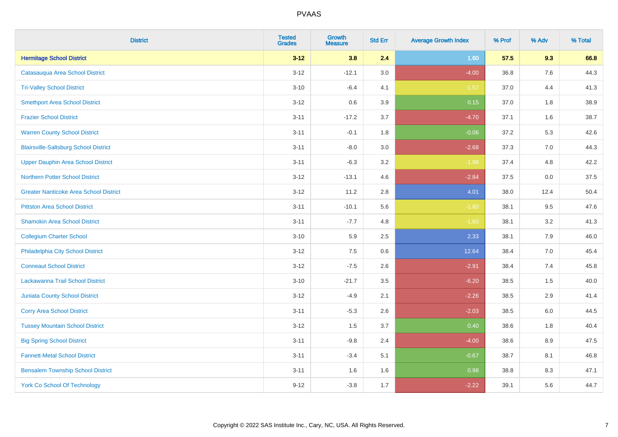| <b>District</b>                               | <b>Tested</b><br><b>Grades</b> | Growth<br><b>Measure</b> | <b>Std Err</b> | <b>Average Growth Index</b> | % Prof | % Adv   | % Total |
|-----------------------------------------------|--------------------------------|--------------------------|----------------|-----------------------------|--------|---------|---------|
| <b>Hermitage School District</b>              | $3 - 12$                       | 3.8                      | 2.4            | 1.60                        | 57.5   | 9.3     | 66.8    |
| Catasauqua Area School District               | $3 - 12$                       | $-12.1$                  | 3.0            | $-4.00$                     | 36.8   | 7.6     | 44.3    |
| <b>Tri-Valley School District</b>             | $3 - 10$                       | $-6.4$                   | 4.1            | $-1.57$                     | 37.0   | 4.4     | 41.3    |
| <b>Smethport Area School District</b>         | $3 - 12$                       | 0.6                      | 3.9            | 0.15                        | 37.0   | $1.8\,$ | 38.9    |
| <b>Frazier School District</b>                | $3 - 11$                       | $-17.2$                  | 3.7            | $-4.70$                     | 37.1   | 1.6     | 38.7    |
| <b>Warren County School District</b>          | $3 - 11$                       | $-0.1$                   | 1.8            | $-0.06$                     | 37.2   | 5.3     | 42.6    |
| <b>Blairsville-Saltsburg School District</b>  | $3 - 11$                       | $-8.0$                   | $3.0\,$        | $-2.68$                     | 37.3   | 7.0     | 44.3    |
| <b>Upper Dauphin Area School District</b>     | $3 - 11$                       | $-6.3$                   | 3.2            | $-1.98$                     | 37.4   | 4.8     | 42.2    |
| <b>Northern Potter School District</b>        | $3 - 12$                       | $-13.1$                  | 4.6            | $-2.84$                     | 37.5   | 0.0     | 37.5    |
| <b>Greater Nanticoke Area School District</b> | $3 - 12$                       | 11.2                     | 2.8            | 4.01                        | 38.0   | 12.4    | 50.4    |
| <b>Pittston Area School District</b>          | $3 - 11$                       | $-10.1$                  | 5.6            | $-1.80$                     | 38.1   | 9.5     | 47.6    |
| <b>Shamokin Area School District</b>          | $3 - 11$                       | $-7.7$                   | 4.8            | $-1.60$                     | 38.1   | 3.2     | 41.3    |
| <b>Collegium Charter School</b>               | $3 - 10$                       | 5.9                      | 2.5            | 2.33                        | 38.1   | 7.9     | 46.0    |
| Philadelphia City School District             | $3 - 12$                       | 7.5                      | 0.6            | 12.64                       | 38.4   | 7.0     | 45.4    |
| <b>Conneaut School District</b>               | $3 - 12$                       | $-7.5$                   | 2.6            | $-2.91$                     | 38.4   | 7.4     | 45.8    |
| Lackawanna Trail School District              | $3 - 10$                       | $-21.7$                  | 3.5            | $-6.20$                     | 38.5   | 1.5     | 40.0    |
| <b>Juniata County School District</b>         | $3 - 12$                       | $-4.9$                   | 2.1            | $-2.26$                     | 38.5   | 2.9     | 41.4    |
| <b>Corry Area School District</b>             | $3 - 11$                       | $-5.3$                   | 2.6            | $-2.03$                     | 38.5   | $6.0\,$ | 44.5    |
| <b>Tussey Mountain School District</b>        | $3 - 12$                       | 1.5                      | 3.7            | 0.40                        | 38.6   | 1.8     | 40.4    |
| <b>Big Spring School District</b>             | $3 - 11$                       | $-9.8$                   | 2.4            | $-4.00$                     | 38.6   | 8.9     | 47.5    |
| <b>Fannett-Metal School District</b>          | $3 - 11$                       | $-3.4$                   | 5.1            | $-0.67$                     | 38.7   | 8.1     | 46.8    |
| <b>Bensalem Township School District</b>      | $3 - 11$                       | 1.6                      | 1.6            | 0.98                        | 38.8   | 8.3     | 47.1    |
| <b>York Co School Of Technology</b>           | $9 - 12$                       | $-3.8$                   | 1.7            | $-2.22$                     | 39.1   | 5.6     | 44.7    |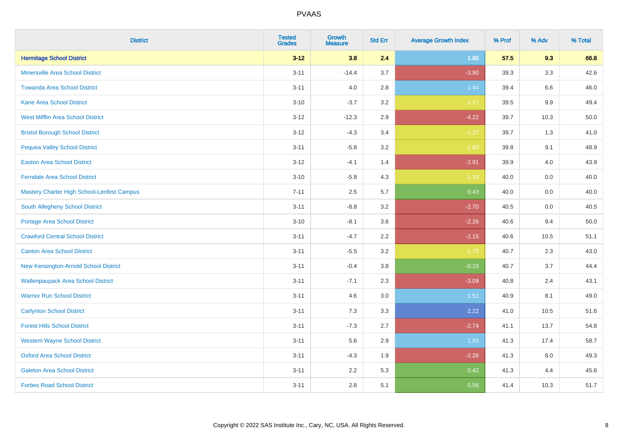| <b>District</b>                            | <b>Tested</b><br><b>Grades</b> | Growth<br><b>Measure</b> | <b>Std Err</b> | <b>Average Growth Index</b> | % Prof | % Adv   | % Total |
|--------------------------------------------|--------------------------------|--------------------------|----------------|-----------------------------|--------|---------|---------|
| <b>Hermitage School District</b>           | $3 - 12$                       | 3.8                      | 2.4            | 1.60                        | 57.5   | 9.3     | 66.8    |
| Minersville Area School District           | $3 - 11$                       | $-14.4$                  | 3.7            | $-3.90$                     | 39.3   | 3.3     | 42.6    |
| <b>Towanda Area School District</b>        | $3 - 11$                       | 4.0                      | 2.8            | 1.44                        | 39.4   | 6.6     | 46.0    |
| Kane Area School District                  | $3 - 10$                       | $-3.7$                   | $3.2\,$        | $-1.17$                     | 39.5   | $9.9\,$ | 49.4    |
| <b>West Mifflin Area School District</b>   | $3 - 12$                       | $-12.3$                  | 2.9            | $-4.22$                     | 39.7   | 10.3    | 50.0    |
| <b>Bristol Borough School District</b>     | $3 - 12$                       | $-4.3$                   | 3.4            | $-1.27$                     | 39.7   | 1.3     | 41.0    |
| <b>Pequea Valley School District</b>       | $3 - 11$                       | $-5.8$                   | 3.2            | $-1.80$                     | 39.8   | 9.1     | 48.9    |
| <b>Easton Area School District</b>         | $3 - 12$                       | $-4.1$                   | 1.4            | $-2.91$                     | 39.9   | 4.0     | 43.9    |
| <b>Ferndale Area School District</b>       | $3 - 10$                       | $-5.8$                   | 4.3            | $-1.33$                     | 40.0   | 0.0     | 40.0    |
| Mastery Charter High School-Lenfest Campus | $7 - 11$                       | $2.5\,$                  | 5.7            | 0.43                        | 40.0   | 0.0     | 40.0    |
| South Allegheny School District            | $3 - 11$                       | $-8.8$                   | 3.2            | $-2.70$                     | 40.5   | 0.0     | 40.5    |
| <b>Portage Area School District</b>        | $3 - 10$                       | $-8.1$                   | 3.6            | $-2.26$                     | 40.6   | 9.4     | 50.0    |
| <b>Crawford Central School District</b>    | $3 - 11$                       | $-4.7$                   | 2.2            | $-2.15$                     | 40.6   | 10.5    | 51.1    |
| <b>Canton Area School District</b>         | $3 - 11$                       | $-5.5$                   | 3.2            | $-1.75$                     | 40.7   | 2.3     | 43.0    |
| New Kensington-Arnold School District      | $3 - 11$                       | $-0.4$                   | 3.8            | $-0.10$                     | 40.7   | 3.7     | 44.4    |
| <b>Wallenpaupack Area School District</b>  | $3 - 11$                       | $-7.1$                   | 2.3            | $-3.09$                     | 40.8   | 2.4     | 43.1    |
| <b>Warrior Run School District</b>         | $3 - 11$                       | 4.6                      | 3.0            | 1.51                        | 40.9   | 8.1     | 49.0    |
| <b>Carlynton School District</b>           | $3 - 11$                       | 7.3                      | 3.3            | 2.22                        | 41.0   | 10.5    | 51.6    |
| <b>Forest Hills School District</b>        | $3 - 11$                       | $-7.3$                   | 2.7            | $-2.74$                     | 41.1   | 13.7    | 54.8    |
| <b>Western Wayne School District</b>       | $3 - 11$                       | 5.6                      | 2.9            | 1.93                        | 41.3   | 17.4    | 58.7    |
| <b>Oxford Area School District</b>         | $3 - 11$                       | $-4.3$                   | 1.9            | $-2.26$                     | 41.3   | 8.0     | 49.3    |
| <b>Galeton Area School District</b>        | $3 - 11$                       | 2.2                      | 5.3            | 0.42                        | 41.3   | 4.4     | 45.6    |
| <b>Forbes Road School District</b>         | $3 - 11$                       | 2.8                      | 5.1            | 0.56                        | 41.4   | 10.3    | 51.7    |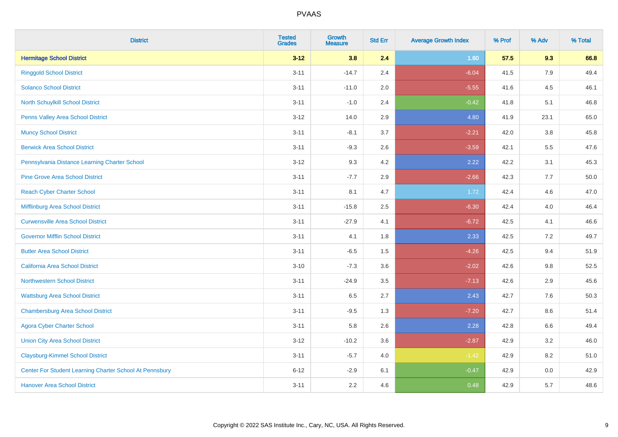| <b>District</b>                                         | <b>Tested</b><br><b>Grades</b> | Growth<br><b>Measure</b> | <b>Std Err</b> | <b>Average Growth Index</b> | % Prof | % Adv   | % Total |
|---------------------------------------------------------|--------------------------------|--------------------------|----------------|-----------------------------|--------|---------|---------|
| <b>Hermitage School District</b>                        | $3 - 12$                       | 3.8                      | 2.4            | 1.60                        | 57.5   | 9.3     | 66.8    |
| <b>Ringgold School District</b>                         | $3 - 11$                       | $-14.7$                  | 2.4            | $-6.04$                     | 41.5   | 7.9     | 49.4    |
| <b>Solanco School District</b>                          | $3 - 11$                       | $-11.0$                  | 2.0            | $-5.55$                     | 41.6   | 4.5     | 46.1    |
| North Schuylkill School District                        | $3 - 11$                       | $-1.0$                   | 2.4            | $-0.42$                     | 41.8   | 5.1     | 46.8    |
| Penns Valley Area School District                       | $3 - 12$                       | 14.0                     | 2.9            | 4.80                        | 41.9   | 23.1    | 65.0    |
| <b>Muncy School District</b>                            | $3 - 11$                       | $-8.1$                   | 3.7            | $-2.21$                     | 42.0   | 3.8     | 45.8    |
| <b>Berwick Area School District</b>                     | $3 - 11$                       | $-9.3$                   | 2.6            | $-3.59$                     | 42.1   | 5.5     | 47.6    |
| Pennsylvania Distance Learning Charter School           | $3 - 12$                       | 9.3                      | 4.2            | 2.22                        | 42.2   | 3.1     | 45.3    |
| <b>Pine Grove Area School District</b>                  | $3 - 11$                       | $-7.7$                   | 2.9            | $-2.66$                     | 42.3   | 7.7     | 50.0    |
| <b>Reach Cyber Charter School</b>                       | $3 - 11$                       | 8.1                      | 4.7            | 1.72                        | 42.4   | 4.6     | 47.0    |
| Mifflinburg Area School District                        | $3 - 11$                       | $-15.8$                  | 2.5            | $-6.30$                     | 42.4   | 4.0     | 46.4    |
| <b>Curwensville Area School District</b>                | $3 - 11$                       | $-27.9$                  | 4.1            | $-6.72$                     | 42.5   | 4.1     | 46.6    |
| <b>Governor Mifflin School District</b>                 | $3 - 11$                       | 4.1                      | 1.8            | 2.33                        | 42.5   | 7.2     | 49.7    |
| <b>Butler Area School District</b>                      | $3 - 11$                       | $-6.5$                   | 1.5            | $-4.26$                     | 42.5   | 9.4     | 51.9    |
| <b>California Area School District</b>                  | $3 - 10$                       | $-7.3$                   | 3.6            | $-2.02$                     | 42.6   | 9.8     | 52.5    |
| <b>Northwestern School District</b>                     | $3 - 11$                       | $-24.9$                  | 3.5            | $-7.13$                     | 42.6   | 2.9     | 45.6    |
| <b>Wattsburg Area School District</b>                   | $3 - 11$                       | 6.5                      | 2.7            | 2.43                        | 42.7   | 7.6     | 50.3    |
| <b>Chambersburg Area School District</b>                | $3 - 11$                       | $-9.5$                   | 1.3            | $-7.20$                     | 42.7   | 8.6     | 51.4    |
| <b>Agora Cyber Charter School</b>                       | $3 - 11$                       | 5.8                      | 2.6            | 2.28                        | 42.8   | $6.6\,$ | 49.4    |
| <b>Union City Area School District</b>                  | $3 - 12$                       | $-10.2$                  | 3.6            | $-2.87$                     | 42.9   | 3.2     | 46.0    |
| <b>Claysburg-Kimmel School District</b>                 | $3 - 11$                       | $-5.7$                   | 4.0            | $-1.42$                     | 42.9   | 8.2     | 51.0    |
| Center For Student Learning Charter School At Pennsbury | $6 - 12$                       | $-2.9$                   | 6.1            | $-0.47$                     | 42.9   | 0.0     | 42.9    |
| <b>Hanover Area School District</b>                     | $3 - 11$                       | 2.2                      | 4.6            | 0.48                        | 42.9   | 5.7     | 48.6    |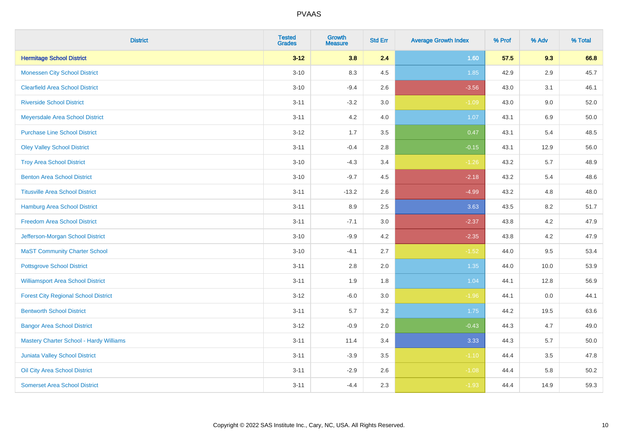| <b>District</b>                                | <b>Tested</b><br><b>Grades</b> | <b>Growth</b><br><b>Measure</b> | <b>Std Err</b> | <b>Average Growth Index</b> | % Prof | % Adv   | % Total |
|------------------------------------------------|--------------------------------|---------------------------------|----------------|-----------------------------|--------|---------|---------|
| <b>Hermitage School District</b>               | $3 - 12$                       | 3.8                             | 2.4            | 1.60                        | 57.5   | 9.3     | 66.8    |
| <b>Monessen City School District</b>           | $3 - 10$                       | 8.3                             | 4.5            | 1.85                        | 42.9   | 2.9     | 45.7    |
| <b>Clearfield Area School District</b>         | $3 - 10$                       | $-9.4$                          | 2.6            | $-3.56$                     | 43.0   | 3.1     | 46.1    |
| <b>Riverside School District</b>               | $3 - 11$                       | $-3.2$                          | 3.0            | $-1.09$                     | 43.0   | $9.0\,$ | 52.0    |
| Meyersdale Area School District                | $3 - 11$                       | 4.2                             | 4.0            | 1.07                        | 43.1   | 6.9     | 50.0    |
| <b>Purchase Line School District</b>           | $3 - 12$                       | 1.7                             | 3.5            | 0.47                        | 43.1   | 5.4     | 48.5    |
| <b>Oley Valley School District</b>             | $3 - 11$                       | $-0.4$                          | 2.8            | $-0.15$                     | 43.1   | 12.9    | 56.0    |
| <b>Troy Area School District</b>               | $3 - 10$                       | $-4.3$                          | 3.4            | $-1.26$                     | 43.2   | 5.7     | 48.9    |
| <b>Benton Area School District</b>             | $3 - 10$                       | $-9.7$                          | 4.5            | $-2.18$                     | 43.2   | 5.4     | 48.6    |
| <b>Titusville Area School District</b>         | $3 - 11$                       | $-13.2$                         | 2.6            | $-4.99$                     | 43.2   | 4.8     | 48.0    |
| Hamburg Area School District                   | $3 - 11$                       | 8.9                             | 2.5            | 3.63                        | 43.5   | 8.2     | 51.7    |
| <b>Freedom Area School District</b>            | $3 - 11$                       | $-7.1$                          | 3.0            | $-2.37$                     | 43.8   | 4.2     | 47.9    |
| Jefferson-Morgan School District               | $3 - 10$                       | $-9.9$                          | 4.2            | $-2.35$                     | 43.8   | 4.2     | 47.9    |
| <b>MaST Community Charter School</b>           | $3 - 10$                       | $-4.1$                          | 2.7            | $-1.52$                     | 44.0   | 9.5     | 53.4    |
| <b>Pottsgrove School District</b>              | $3 - 11$                       | 2.8                             | 2.0            | 1.35                        | 44.0   | 10.0    | 53.9    |
| <b>Williamsport Area School District</b>       | $3 - 11$                       | 1.9                             | 1.8            | 1.04                        | 44.1   | 12.8    | 56.9    |
| <b>Forest City Regional School District</b>    | $3 - 12$                       | $-6.0$                          | 3.0            | $-1.96$                     | 44.1   | 0.0     | 44.1    |
| <b>Bentworth School District</b>               | $3 - 11$                       | 5.7                             | 3.2            | 1.75                        | 44.2   | 19.5    | 63.6    |
| <b>Bangor Area School District</b>             | $3 - 12$                       | $-0.9$                          | 2.0            | $-0.43$                     | 44.3   | 4.7     | 49.0    |
| <b>Mastery Charter School - Hardy Williams</b> | $3 - 11$                       | 11.4                            | 3.4            | 3.33                        | 44.3   | 5.7     | 50.0    |
| <b>Juniata Valley School District</b>          | $3 - 11$                       | $-3.9$                          | 3.5            | $-1.10$                     | 44.4   | 3.5     | 47.8    |
| Oil City Area School District                  | $3 - 11$                       | $-2.9$                          | 2.6            | $-1.08$                     | 44.4   | 5.8     | 50.2    |
| <b>Somerset Area School District</b>           | $3 - 11$                       | $-4.4$                          | 2.3            | $-1.93$                     | 44.4   | 14.9    | 59.3    |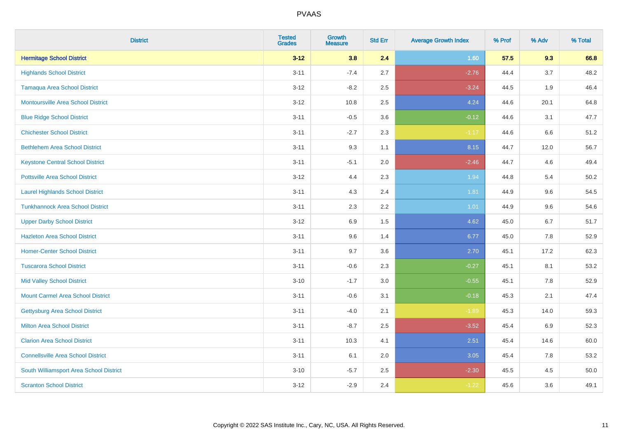| <b>District</b>                           | <b>Tested</b><br><b>Grades</b> | <b>Growth</b><br><b>Measure</b> | <b>Std Err</b> | <b>Average Growth Index</b> | % Prof | % Adv | % Total |
|-------------------------------------------|--------------------------------|---------------------------------|----------------|-----------------------------|--------|-------|---------|
| <b>Hermitage School District</b>          | $3 - 12$                       | 3.8                             | 2.4            | 1.60                        | 57.5   | 9.3   | 66.8    |
| <b>Highlands School District</b>          | $3 - 11$                       | $-7.4$                          | 2.7            | $-2.76$                     | 44.4   | 3.7   | 48.2    |
| <b>Tamaqua Area School District</b>       | $3-12$                         | $-8.2$                          | 2.5            | $-3.24$                     | 44.5   | 1.9   | 46.4    |
| <b>Montoursville Area School District</b> | $3 - 12$                       | 10.8                            | 2.5            | 4.24                        | 44.6   | 20.1  | 64.8    |
| <b>Blue Ridge School District</b>         | $3 - 11$                       | $-0.5$                          | 3.6            | $-0.12$                     | 44.6   | 3.1   | 47.7    |
| <b>Chichester School District</b>         | $3 - 11$                       | $-2.7$                          | 2.3            | $-1.17$                     | 44.6   | 6.6   | 51.2    |
| <b>Bethlehem Area School District</b>     | $3 - 11$                       | 9.3                             | 1.1            | 8.15                        | 44.7   | 12.0  | 56.7    |
| <b>Keystone Central School District</b>   | $3 - 11$                       | $-5.1$                          | 2.0            | $-2.46$                     | 44.7   | 4.6   | 49.4    |
| <b>Pottsville Area School District</b>    | $3-12$                         | 4.4                             | 2.3            | 1.94                        | 44.8   | 5.4   | 50.2    |
| <b>Laurel Highlands School District</b>   | $3 - 11$                       | 4.3                             | 2.4            | 1.81                        | 44.9   | 9.6   | 54.5    |
| <b>Tunkhannock Area School District</b>   | $3 - 11$                       | 2.3                             | 2.2            | 1.01                        | 44.9   | 9.6   | 54.6    |
| <b>Upper Darby School District</b>        | $3 - 12$                       | 6.9                             | 1.5            | 4.62                        | 45.0   | 6.7   | 51.7    |
| <b>Hazleton Area School District</b>      | $3 - 11$                       | 9.6                             | 1.4            | 6.77                        | 45.0   | 7.8   | 52.9    |
| <b>Homer-Center School District</b>       | $3 - 11$                       | 9.7                             | 3.6            | 2.70                        | 45.1   | 17.2  | 62.3    |
| <b>Tuscarora School District</b>          | $3 - 11$                       | $-0.6$                          | 2.3            | $-0.27$                     | 45.1   | 8.1   | 53.2    |
| <b>Mid Valley School District</b>         | $3 - 10$                       | $-1.7$                          | 3.0            | $-0.55$                     | 45.1   | 7.8   | 52.9    |
| <b>Mount Carmel Area School District</b>  | $3 - 11$                       | $-0.6$                          | 3.1            | $-0.18$                     | 45.3   | 2.1   | 47.4    |
| Gettysburg Area School District           | $3 - 11$                       | $-4.0$                          | 2.1            | $-1.89$                     | 45.3   | 14.0  | 59.3    |
| <b>Milton Area School District</b>        | $3 - 11$                       | $-8.7$                          | 2.5            | $-3.52$                     | 45.4   | 6.9   | 52.3    |
| <b>Clarion Area School District</b>       | $3 - 11$                       | 10.3                            | 4.1            | 2.51                        | 45.4   | 14.6  | 60.0    |
| <b>Connellsville Area School District</b> | $3 - 11$                       | 6.1                             | 2.0            | 3.05                        | 45.4   | 7.8   | 53.2    |
| South Williamsport Area School District   | $3 - 10$                       | $-5.7$                          | 2.5            | $-2.30$                     | 45.5   | 4.5   | 50.0    |
| <b>Scranton School District</b>           | $3 - 12$                       | $-2.9$                          | 2.4            | $-1.22$                     | 45.6   | 3.6   | 49.1    |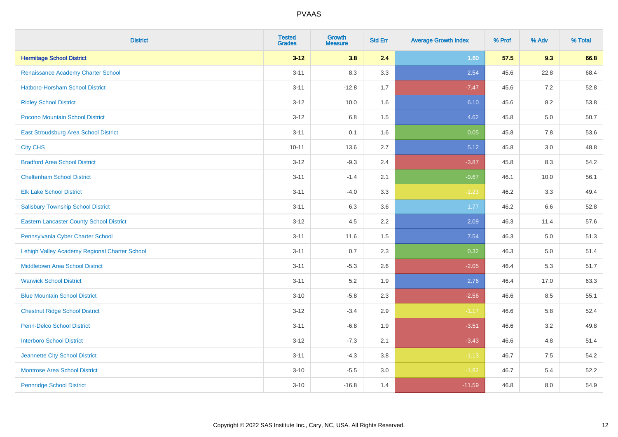| <b>District</b>                                 | <b>Tested</b><br><b>Grades</b> | <b>Growth</b><br><b>Measure</b> | <b>Std Err</b> | <b>Average Growth Index</b> | % Prof | % Adv | % Total |
|-------------------------------------------------|--------------------------------|---------------------------------|----------------|-----------------------------|--------|-------|---------|
| <b>Hermitage School District</b>                | $3 - 12$                       | 3.8                             | 2.4            | 1.60                        | 57.5   | 9.3   | 66.8    |
| Renaissance Academy Charter School              | $3 - 11$                       | 8.3                             | 3.3            | 2.54                        | 45.6   | 22.8  | 68.4    |
| Hatboro-Horsham School District                 | $3 - 11$                       | $-12.8$                         | 1.7            | $-7.47$                     | 45.6   | 7.2   | 52.8    |
| <b>Ridley School District</b>                   | $3 - 12$                       | 10.0                            | 1.6            | 6.10                        | 45.6   | 8.2   | 53.8    |
| Pocono Mountain School District                 | $3 - 12$                       | 6.8                             | 1.5            | 4.62                        | 45.8   | 5.0   | 50.7    |
| East Stroudsburg Area School District           | $3 - 11$                       | 0.1                             | 1.6            | 0.05                        | 45.8   | 7.8   | 53.6    |
| <b>City CHS</b>                                 | $10 - 11$                      | 13.6                            | 2.7            | 5.12                        | 45.8   | 3.0   | 48.8    |
| <b>Bradford Area School District</b>            | $3 - 12$                       | $-9.3$                          | 2.4            | $-3.87$                     | 45.8   | 8.3   | 54.2    |
| <b>Cheltenham School District</b>               | $3 - 11$                       | $-1.4$                          | 2.1            | $-0.67$                     | 46.1   | 10.0  | 56.1    |
| <b>Elk Lake School District</b>                 | $3 - 11$                       | $-4.0$                          | 3.3            | $-1.23$                     | 46.2   | 3.3   | 49.4    |
| <b>Salisbury Township School District</b>       | $3 - 11$                       | 6.3                             | 3.6            | 1.77                        | 46.2   | 6.6   | 52.8    |
| <b>Eastern Lancaster County School District</b> | $3 - 12$                       | 4.5                             | 2.2            | 2.09                        | 46.3   | 11.4  | 57.6    |
| Pennsylvania Cyber Charter School               | $3 - 11$                       | 11.6                            | 1.5            | 7.54                        | 46.3   | 5.0   | 51.3    |
| Lehigh Valley Academy Regional Charter School   | $3 - 11$                       | 0.7                             | 2.3            | 0.32                        | 46.3   | 5.0   | 51.4    |
| <b>Middletown Area School District</b>          | $3 - 11$                       | $-5.3$                          | 2.6            | $-2.05$                     | 46.4   | 5.3   | 51.7    |
| <b>Warwick School District</b>                  | $3 - 11$                       | 5.2                             | 1.9            | 2.76                        | 46.4   | 17.0  | 63.3    |
| <b>Blue Mountain School District</b>            | $3 - 10$                       | $-5.8$                          | 2.3            | $-2.56$                     | 46.6   | 8.5   | 55.1    |
| <b>Chestnut Ridge School District</b>           | $3 - 12$                       | $-3.4$                          | 2.9            | $-1.17$                     | 46.6   | 5.8   | 52.4    |
| Penn-Delco School District                      | $3 - 11$                       | $-6.8$                          | 1.9            | $-3.51$                     | 46.6   | 3.2   | 49.8    |
| <b>Interboro School District</b>                | $3 - 12$                       | $-7.3$                          | 2.1            | $-3.43$                     | 46.6   | 4.8   | 51.4    |
| Jeannette City School District                  | $3 - 11$                       | $-4.3$                          | 3.8            | $-1.13$                     | 46.7   | 7.5   | 54.2    |
| <b>Montrose Area School District</b>            | $3 - 10$                       | $-5.5$                          | 3.0            | $-1.82$                     | 46.7   | 5.4   | 52.2    |
| <b>Pennridge School District</b>                | $3 - 10$                       | $-16.8$                         | 1.4            | $-11.59$                    | 46.8   | 8.0   | 54.9    |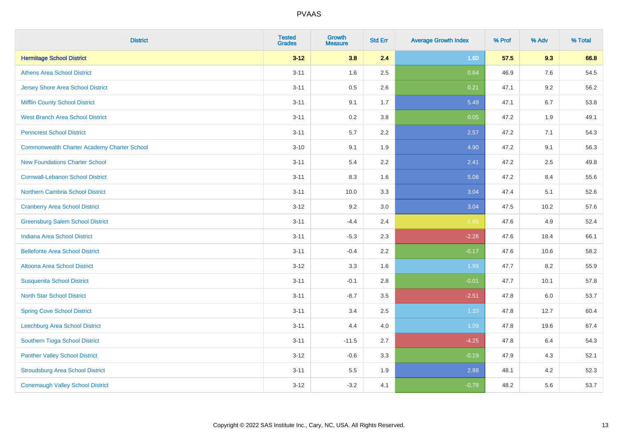| <b>District</b>                                    | <b>Tested</b><br><b>Grades</b> | <b>Growth</b><br><b>Measure</b> | <b>Std Err</b> | <b>Average Growth Index</b> | % Prof | % Adv   | % Total |
|----------------------------------------------------|--------------------------------|---------------------------------|----------------|-----------------------------|--------|---------|---------|
| <b>Hermitage School District</b>                   | $3 - 12$                       | 3.8                             | 2.4            | 1.60                        | 57.5   | 9.3     | 66.8    |
| <b>Athens Area School District</b>                 | $3 - 11$                       | 1.6                             | 2.5            | 0.64                        | 46.9   | 7.6     | 54.5    |
| Jersey Shore Area School District                  | $3 - 11$                       | 0.5                             | 2.6            | 0.21                        | 47.1   | 9.2     | 56.2    |
| <b>Mifflin County School District</b>              | $3 - 11$                       | 9.1                             | 1.7            | 5.49                        | 47.1   | $6.7\,$ | 53.8    |
| <b>West Branch Area School District</b>            | $3 - 11$                       | 0.2                             | 3.8            | 0.05                        | 47.2   | 1.9     | 49.1    |
| <b>Penncrest School District</b>                   | $3 - 11$                       | 5.7                             | 2.2            | 2.57                        | 47.2   | 7.1     | 54.3    |
| <b>Commonwealth Charter Academy Charter School</b> | $3 - 10$                       | 9.1                             | 1.9            | 4.90                        | 47.2   | 9.1     | 56.3    |
| <b>New Foundations Charter School</b>              | $3 - 11$                       | 5.4                             | 2.2            | 2.41                        | 47.2   | 2.5     | 49.8    |
| <b>Cornwall-Lebanon School District</b>            | $3 - 11$                       | 8.3                             | 1.6            | 5.08                        | 47.2   | 8.4     | 55.6    |
| Northern Cambria School District                   | $3 - 11$                       | 10.0                            | 3.3            | 3.04                        | 47.4   | 5.1     | 52.6    |
| <b>Cranberry Area School District</b>              | $3-12$                         | 9.2                             | 3.0            | 3.04                        | 47.5   | 10.2    | 57.6    |
| <b>Greensburg Salem School District</b>            | $3 - 11$                       | $-4.4$                          | 2.4            | $-1.88$                     | 47.6   | 4.9     | 52.4    |
| Indiana Area School District                       | $3 - 11$                       | $-5.3$                          | 2.3            | $-2.28$                     | 47.6   | 18.4    | 66.1    |
| <b>Bellefonte Area School District</b>             | $3 - 11$                       | $-0.4$                          | 2.2            | $-0.17$                     | 47.6   | 10.6    | 58.2    |
| Altoona Area School District                       | $3-12$                         | 3.3                             | 1.6            | 1.99                        | 47.7   | 8.2     | 55.9    |
| <b>Susquenita School District</b>                  | $3 - 11$                       | $-0.1$                          | 2.8            | $-0.01$                     | 47.7   | 10.1    | 57.8    |
| <b>North Star School District</b>                  | $3 - 11$                       | $-8.7$                          | 3.5            | $-2.51$                     | 47.8   | $6.0\,$ | 53.7    |
| <b>Spring Cove School District</b>                 | $3 - 11$                       | 3.4                             | 2.5            | 1.33                        | 47.8   | 12.7    | 60.4    |
| Leechburg Area School District                     | $3 - 11$                       | 4.4                             | 4.0            | 1.09                        | 47.8   | 19.6    | 67.4    |
| <b>Southern Tioga School District</b>              | $3 - 11$                       | $-11.5$                         | 2.7            | $-4.25$                     | 47.8   | 6.4     | 54.3    |
| <b>Panther Valley School District</b>              | $3 - 12$                       | $-0.6$                          | 3.3            | $-0.19$                     | 47.9   | 4.3     | 52.1    |
| <b>Stroudsburg Area School District</b>            | $3 - 11$                       | 5.5                             | 1.9            | 2.88                        | 48.1   | 4.2     | 52.3    |
| <b>Conemaugh Valley School District</b>            | $3 - 12$                       | $-3.2$                          | 4.1            | $-0.78$                     | 48.2   | 5.6     | 53.7    |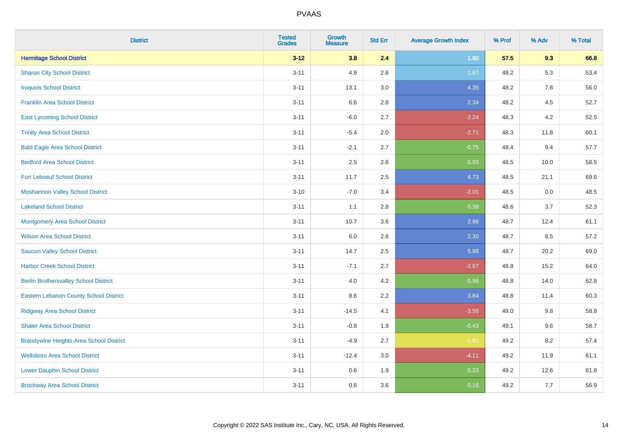| <b>District</b>                                | <b>Tested</b><br><b>Grades</b> | Growth<br><b>Measure</b> | <b>Std Err</b> | <b>Average Growth Index</b> | % Prof | % Adv | % Total |
|------------------------------------------------|--------------------------------|--------------------------|----------------|-----------------------------|--------|-------|---------|
| <b>Hermitage School District</b>               | $3 - 12$                       | 3.8                      | 2.4            | 1.60                        | 57.5   | 9.3   | 66.8    |
| <b>Sharon City School District</b>             | $3 - 11$                       | 4.9                      | 2.6            | 1.87                        | 48.2   | 5.3   | 53.4    |
| <b>Iroquois School District</b>                | $3 - 11$                       | 13.1                     | 3.0            | 4.35                        | 48.2   | 7.8   | 56.0    |
| <b>Franklin Area School District</b>           | $3 - 11$                       | 6.6                      | 2.8            | 2.34                        | 48.2   | 4.5   | 52.7    |
| <b>East Lycoming School District</b>           | $3 - 11$                       | $-6.0$                   | 2.7            | $-2.24$                     | 48.3   | 4.2   | 52.5    |
| <b>Trinity Area School District</b>            | $3 - 11$                       | $-5.4$                   | 2.0            | $-2.71$                     | 48.3   | 11.8  | 60.1    |
| <b>Bald Eagle Area School District</b>         | $3 - 11$                       | $-2.1$                   | 2.7            | $-0.75$                     | 48.4   | 9.4   | 57.7    |
| <b>Bedford Area School District</b>            | $3 - 11$                       | 2.5                      | 2.6            | 0.93                        | 48.5   | 10.0  | 58.5    |
| <b>Fort Leboeuf School District</b>            | $3 - 11$                       | 11.7                     | 2.5            | 4.73                        | 48.5   | 21.1  | 69.6    |
| <b>Moshannon Valley School District</b>        | $3 - 10$                       | $-7.0$                   | 3.4            | $-2.01$                     | 48.5   | 0.0   | 48.5    |
| <b>Lakeland School District</b>                | $3 - 11$                       | 1.1                      | 2.8            | 0.38                        | 48.6   | 3.7   | 52.3    |
| <b>Montgomery Area School District</b>         | $3 - 11$                       | 10.7                     | 3.6            | 2.96                        | 48.7   | 12.4  | 61.1    |
| <b>Wilson Area School District</b>             | $3 - 11$                       | 6.0                      | 2.6            | 2.30                        | 48.7   | 8.5   | 57.2    |
| <b>Saucon Valley School District</b>           | $3 - 11$                       | 14.7                     | 2.5            | 5.98                        | 48.7   | 20.2  | 69.0    |
| <b>Harbor Creek School District</b>            | $3 - 11$                       | $-7.1$                   | 2.7            | $-2.67$                     | 48.8   | 15.2  | 64.0    |
| <b>Berlin Brothersvalley School District</b>   | $3 - 11$                       | 4.0                      | 4.2            | 0.96                        | 48.8   | 14.0  | 62.8    |
| <b>Eastern Lebanon County School District</b>  | $3 - 11$                       | 8.6                      | 2.2            | 3.84                        | 48.8   | 11.4  | 60.3    |
| <b>Ridgway Area School District</b>            | $3 - 11$                       | $-14.5$                  | 4.1            | $-3.56$                     | 49.0   | 9.8   | 58.8    |
| <b>Shaler Area School District</b>             | $3 - 11$                       | $-0.8$                   | 1.9            | $-0.43$                     | 49.1   | 9.6   | 58.7    |
| <b>Brandywine Heights Area School District</b> | $3 - 11$                       | $-4.9$                   | 2.7            | $-1.81$                     | 49.2   | 8.2   | 57.4    |
| <b>Wellsboro Area School District</b>          | $3 - 11$                       | $-12.4$                  | 3.0            | $-4.11$                     | 49.2   | 11.9  | 61.1    |
| <b>Lower Dauphin School District</b>           | $3 - 11$                       | 0.6                      | 1.9            | 0.33                        | 49.2   | 12.6  | 61.8    |
| <b>Brockway Area School District</b>           | $3 - 11$                       | 0.6                      | 3.6            | 0.16                        | 49.2   | 7.7   | 56.9    |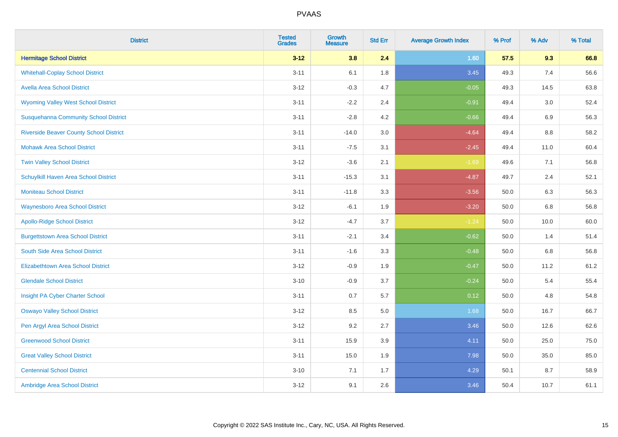| <b>District</b>                                | <b>Tested</b><br><b>Grades</b> | <b>Growth</b><br><b>Measure</b> | <b>Std Err</b> | <b>Average Growth Index</b> | % Prof | % Adv | % Total |
|------------------------------------------------|--------------------------------|---------------------------------|----------------|-----------------------------|--------|-------|---------|
| <b>Hermitage School District</b>               | $3 - 12$                       | 3.8                             | 2.4            | 1.60                        | 57.5   | 9.3   | 66.8    |
| <b>Whitehall-Coplay School District</b>        | $3 - 11$                       | 6.1                             | 1.8            | 3.45                        | 49.3   | 7.4   | 56.6    |
| <b>Avella Area School District</b>             | $3 - 12$                       | $-0.3$                          | 4.7            | $-0.05$                     | 49.3   | 14.5  | 63.8    |
| <b>Wyoming Valley West School District</b>     | $3 - 11$                       | $-2.2$                          | 2.4            | $-0.91$                     | 49.4   | 3.0   | 52.4    |
| <b>Susquehanna Community School District</b>   | $3 - 11$                       | $-2.8$                          | 4.2            | $-0.66$                     | 49.4   | 6.9   | 56.3    |
| <b>Riverside Beaver County School District</b> | $3 - 11$                       | $-14.0$                         | 3.0            | $-4.64$                     | 49.4   | 8.8   | 58.2    |
| <b>Mohawk Area School District</b>             | $3 - 11$                       | $-7.5$                          | 3.1            | $-2.45$                     | 49.4   | 11.0  | 60.4    |
| <b>Twin Valley School District</b>             | $3 - 12$                       | $-3.6$                          | 2.1            | $-1.69$                     | 49.6   | 7.1   | 56.8    |
| Schuylkill Haven Area School District          | $3 - 11$                       | $-15.3$                         | 3.1            | $-4.87$                     | 49.7   | 2.4   | 52.1    |
| <b>Moniteau School District</b>                | $3 - 11$                       | $-11.8$                         | 3.3            | $-3.56$                     | 50.0   | 6.3   | 56.3    |
| <b>Waynesboro Area School District</b>         | $3 - 12$                       | $-6.1$                          | 1.9            | $-3.20$                     | 50.0   | 6.8   | 56.8    |
| <b>Apollo-Ridge School District</b>            | $3 - 12$                       | $-4.7$                          | 3.7            | $-1.24$                     | 50.0   | 10.0  | 60.0    |
| <b>Burgettstown Area School District</b>       | $3 - 11$                       | $-2.1$                          | 3.4            | $-0.62$                     | 50.0   | 1.4   | 51.4    |
| South Side Area School District                | $3 - 11$                       | $-1.6$                          | 3.3            | $-0.48$                     | 50.0   | 6.8   | 56.8    |
| <b>Elizabethtown Area School District</b>      | $3 - 12$                       | $-0.9$                          | 1.9            | $-0.47$                     | 50.0   | 11.2  | 61.2    |
| <b>Glendale School District</b>                | $3 - 10$                       | $-0.9$                          | 3.7            | $-0.24$                     | 50.0   | 5.4   | 55.4    |
| Insight PA Cyber Charter School                | $3 - 11$                       | 0.7                             | 5.7            | 0.12                        | 50.0   | 4.8   | 54.8    |
| <b>Oswayo Valley School District</b>           | $3 - 12$                       | 8.5                             | 5.0            | 1.68                        | 50.0   | 16.7  | 66.7    |
| Pen Argyl Area School District                 | $3 - 12$                       | 9.2                             | 2.7            | 3.46                        | 50.0   | 12.6  | 62.6    |
| <b>Greenwood School District</b>               | $3 - 11$                       | 15.9                            | 3.9            | 4.11                        | 50.0   | 25.0  | 75.0    |
| <b>Great Valley School District</b>            | $3 - 11$                       | 15.0                            | 1.9            | 7.98                        | 50.0   | 35.0  | 85.0    |
| <b>Centennial School District</b>              | $3 - 10$                       | 7.1                             | 1.7            | 4.29                        | 50.1   | 8.7   | 58.9    |
| Ambridge Area School District                  | $3 - 12$                       | 9.1                             | 2.6            | 3.46                        | 50.4   | 10.7  | 61.1    |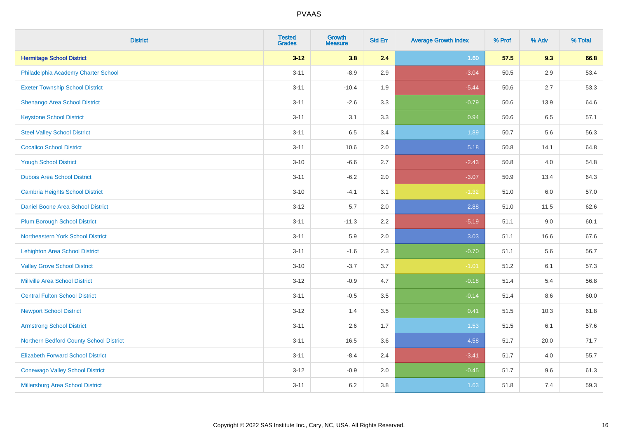| <b>District</b>                          | <b>Tested</b><br><b>Grades</b> | <b>Growth</b><br><b>Measure</b> | <b>Std Err</b> | <b>Average Growth Index</b> | % Prof | % Adv   | % Total |
|------------------------------------------|--------------------------------|---------------------------------|----------------|-----------------------------|--------|---------|---------|
| <b>Hermitage School District</b>         | $3 - 12$                       | 3.8                             | 2.4            | 1.60                        | 57.5   | 9.3     | 66.8    |
| Philadelphia Academy Charter School      | $3 - 11$                       | $-8.9$                          | 2.9            | $-3.04$                     | 50.5   | $2.9\,$ | 53.4    |
| <b>Exeter Township School District</b>   | $3 - 11$                       | $-10.4$                         | 1.9            | $-5.44$                     | 50.6   | 2.7     | 53.3    |
| Shenango Area School District            | $3 - 11$                       | $-2.6$                          | 3.3            | $-0.79$                     | 50.6   | 13.9    | 64.6    |
| <b>Keystone School District</b>          | $3 - 11$                       | 3.1                             | 3.3            | 0.94                        | 50.6   | 6.5     | 57.1    |
| <b>Steel Valley School District</b>      | $3 - 11$                       | 6.5                             | 3.4            | 1.89                        | 50.7   | 5.6     | 56.3    |
| <b>Cocalico School District</b>          | $3 - 11$                       | 10.6                            | 2.0            | 5.18                        | 50.8   | 14.1    | 64.8    |
| <b>Yough School District</b>             | $3 - 10$                       | $-6.6$                          | 2.7            | $-2.43$                     | 50.8   | 4.0     | 54.8    |
| <b>Dubois Area School District</b>       | $3 - 11$                       | $-6.2$                          | 2.0            | $-3.07$                     | 50.9   | 13.4    | 64.3    |
| <b>Cambria Heights School District</b>   | $3 - 10$                       | $-4.1$                          | 3.1            | $-1.32$                     | 51.0   | 6.0     | 57.0    |
| Daniel Boone Area School District        | $3 - 12$                       | 5.7                             | 2.0            | 2.88                        | 51.0   | 11.5    | 62.6    |
| <b>Plum Borough School District</b>      | $3 - 11$                       | $-11.3$                         | 2.2            | $-5.19$                     | 51.1   | 9.0     | 60.1    |
| Northeastern York School District        | $3 - 11$                       | 5.9                             | 2.0            | 3.03                        | 51.1   | 16.6    | 67.6    |
| <b>Lehighton Area School District</b>    | $3 - 11$                       | $-1.6$                          | 2.3            | $-0.70$                     | 51.1   | 5.6     | 56.7    |
| <b>Valley Grove School District</b>      | $3 - 10$                       | $-3.7$                          | 3.7            | $-1.01$                     | 51.2   | 6.1     | 57.3    |
| <b>Millville Area School District</b>    | $3 - 12$                       | $-0.9$                          | 4.7            | $-0.18$                     | 51.4   | 5.4     | 56.8    |
| <b>Central Fulton School District</b>    | $3 - 11$                       | $-0.5$                          | 3.5            | $-0.14$                     | 51.4   | 8.6     | 60.0    |
| <b>Newport School District</b>           | $3 - 12$                       | 1.4                             | 3.5            | 0.41                        | 51.5   | 10.3    | 61.8    |
| <b>Armstrong School District</b>         | $3 - 11$                       | 2.6                             | 1.7            | 1.53                        | 51.5   | 6.1     | 57.6    |
| Northern Bedford County School District  | $3 - 11$                       | 16.5                            | 3.6            | 4.58                        | 51.7   | 20.0    | 71.7    |
| <b>Elizabeth Forward School District</b> | $3 - 11$                       | $-8.4$                          | 2.4            | $-3.41$                     | 51.7   | 4.0     | 55.7    |
| <b>Conewago Valley School District</b>   | $3 - 12$                       | $-0.9$                          | 2.0            | $-0.45$                     | 51.7   | 9.6     | 61.3    |
| Millersburg Area School District         | $3 - 11$                       | $6.2\,$                         | 3.8            | 1.63                        | 51.8   | 7.4     | 59.3    |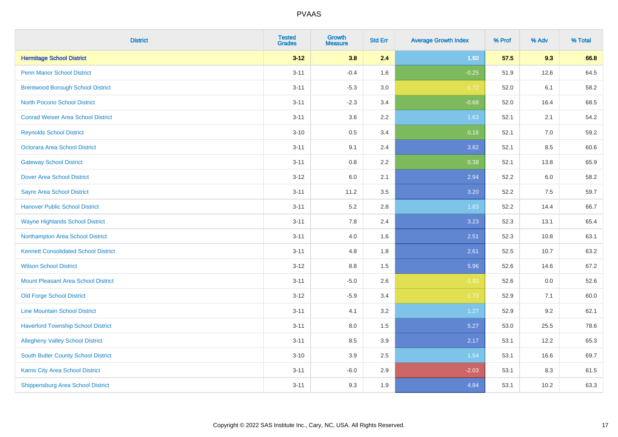| <b>District</b>                             | <b>Tested</b><br><b>Grades</b> | <b>Growth</b><br><b>Measure</b> | <b>Std Err</b> | <b>Average Growth Index</b> | % Prof | % Adv | % Total |
|---------------------------------------------|--------------------------------|---------------------------------|----------------|-----------------------------|--------|-------|---------|
| <b>Hermitage School District</b>            | $3 - 12$                       | 3.8                             | 2.4            | 1.60                        | 57.5   | 9.3   | 66.8    |
| <b>Penn Manor School District</b>           | $3 - 11$                       | $-0.4$                          | 1.6            | $-0.25$                     | 51.9   | 12.6  | 64.5    |
| <b>Brentwood Borough School District</b>    | $3 - 11$                       | $-5.3$                          | 3.0            | $-1.72$                     | 52.0   | 6.1   | 58.2    |
| <b>North Pocono School District</b>         | $3 - 11$                       | $-2.3$                          | 3.4            | $-0.68$                     | 52.0   | 16.4  | 68.5    |
| <b>Conrad Weiser Area School District</b>   | $3 - 11$                       | 3.6                             | 2.2            | 1.63                        | 52.1   | 2.1   | 54.2    |
| <b>Reynolds School District</b>             | $3 - 10$                       | 0.5                             | 3.4            | 0.16                        | 52.1   | 7.0   | 59.2    |
| Octorara Area School District               | $3 - 11$                       | 9.1                             | 2.4            | 3.82                        | 52.1   | 8.5   | 60.6    |
| <b>Gateway School District</b>              | $3 - 11$                       | $0.8\,$                         | 2.2            | 0.38                        | 52.1   | 13.8  | 65.9    |
| <b>Dover Area School District</b>           | $3 - 12$                       | 6.0                             | 2.1            | 2.94                        | 52.2   | 6.0   | 58.2    |
| <b>Sayre Area School District</b>           | $3 - 11$                       | 11.2                            | 3.5            | 3.20                        | 52.2   | 7.5   | 59.7    |
| <b>Hanover Public School District</b>       | $3 - 11$                       | 5.2                             | 2.8            | 1.83                        | 52.2   | 14.4  | 66.7    |
| <b>Wayne Highlands School District</b>      | $3 - 11$                       | 7.8                             | 2.4            | 3.23                        | 52.3   | 13.1  | 65.4    |
| Northampton Area School District            | $3 - 11$                       | 4.0                             | 1.6            | 2.51                        | 52.3   | 10.8  | 63.1    |
| <b>Kennett Consolidated School District</b> | $3 - 11$                       | 4.8                             | 1.8            | 2.61                        | 52.5   | 10.7  | 63.2    |
| <b>Wilson School District</b>               | $3 - 12$                       | $8.8\,$                         | 1.5            | 5.96                        | 52.6   | 14.6  | 67.2    |
| <b>Mount Pleasant Area School District</b>  | $3 - 11$                       | $-5.0$                          | 2.6            | $-1.93$                     | 52.6   | 0.0   | 52.6    |
| <b>Old Forge School District</b>            | $3 - 12$                       | $-5.9$                          | 3.4            | $-1.73$                     | 52.9   | 7.1   | 60.0    |
| <b>Line Mountain School District</b>        | $3 - 11$                       | 4.1                             | 3.2            | 1.27                        | 52.9   | 9.2   | 62.1    |
| <b>Haverford Township School District</b>   | $3 - 11$                       | $8.0\,$                         | 1.5            | 5.27                        | 53.0   | 25.5  | 78.6    |
| <b>Allegheny Valley School District</b>     | $3 - 11$                       | 8.5                             | 3.9            | 2.17                        | 53.1   | 12.2  | 65.3    |
| South Butler County School District         | $3 - 10$                       | 3.9                             | 2.5            | 1.54                        | 53.1   | 16.6  | 69.7    |
| Karns City Area School District             | $3 - 11$                       | $-6.0$                          | 2.9            | $-2.03$                     | 53.1   | 8.3   | 61.5    |
| <b>Shippensburg Area School District</b>    | $3 - 11$                       | 9.3                             | 1.9            | 4.84                        | 53.1   | 10.2  | 63.3    |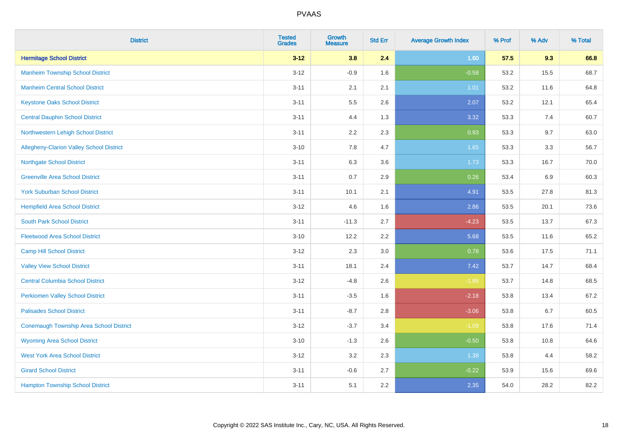| <b>District</b>                                | <b>Tested</b><br><b>Grades</b> | <b>Growth</b><br><b>Measure</b> | <b>Std Err</b> | <b>Average Growth Index</b> | % Prof | % Adv | % Total |
|------------------------------------------------|--------------------------------|---------------------------------|----------------|-----------------------------|--------|-------|---------|
| <b>Hermitage School District</b>               | $3 - 12$                       | 3.8                             | 2.4            | 1.60                        | 57.5   | 9.3   | 66.8    |
| <b>Manheim Township School District</b>        | $3 - 12$                       | $-0.9$                          | 1.6            | $-0.58$                     | 53.2   | 15.5  | 68.7    |
| <b>Manheim Central School District</b>         | $3 - 11$                       | 2.1                             | 2.1            | 1.01                        | 53.2   | 11.6  | 64.8    |
| <b>Keystone Oaks School District</b>           | $3 - 11$                       | $5.5\,$                         | 2.6            | 2.07                        | 53.2   | 12.1  | 65.4    |
| <b>Central Dauphin School District</b>         | $3 - 11$                       | 4.4                             | 1.3            | 3.32                        | 53.3   | 7.4   | 60.7    |
| Northwestern Lehigh School District            | $3 - 11$                       | 2.2                             | 2.3            | 0.93                        | 53.3   | 9.7   | 63.0    |
| Allegheny-Clarion Valley School District       | $3 - 10$                       | 7.8                             | 4.7            | 1.65                        | 53.3   | 3.3   | 56.7    |
| <b>Northgate School District</b>               | $3 - 11$                       | 6.3                             | 3.6            | 1.73                        | 53.3   | 16.7  | 70.0    |
| <b>Greenville Area School District</b>         | $3 - 11$                       | 0.7                             | 2.9            | 0.26                        | 53.4   | 6.9   | 60.3    |
| <b>York Suburban School District</b>           | $3 - 11$                       | 10.1                            | 2.1            | 4.91                        | 53.5   | 27.8  | 81.3    |
| <b>Hempfield Area School District</b>          | $3 - 12$                       | 4.6                             | 1.6            | 2.86                        | 53.5   | 20.1  | 73.6    |
| <b>South Park School District</b>              | $3 - 11$                       | $-11.3$                         | 2.7            | $-4.23$                     | 53.5   | 13.7  | 67.3    |
| <b>Fleetwood Area School District</b>          | $3 - 10$                       | 12.2                            | 2.2            | 5.68                        | 53.5   | 11.6  | 65.2    |
| <b>Camp Hill School District</b>               | $3 - 12$                       | 2.3                             | 3.0            | 0.78                        | 53.6   | 17.5  | 71.1    |
| <b>Valley View School District</b>             | $3 - 11$                       | 18.1                            | 2.4            | 7.42                        | 53.7   | 14.7  | 68.4    |
| <b>Central Columbia School District</b>        | $3 - 12$                       | $-4.8$                          | 2.6            | $-1.86$                     | 53.7   | 14.8  | 68.5    |
| <b>Perkiomen Valley School District</b>        | $3 - 11$                       | $-3.5$                          | 1.6            | $-2.18$                     | 53.8   | 13.4  | 67.2    |
| <b>Palisades School District</b>               | $3 - 11$                       | $-8.7$                          | 2.8            | $-3.06$                     | 53.8   | 6.7   | 60.5    |
| <b>Conemaugh Township Area School District</b> | $3-12$                         | $-3.7$                          | 3.4            | $-1.09$                     | 53.8   | 17.6  | 71.4    |
| <b>Wyoming Area School District</b>            | $3 - 10$                       | $-1.3$                          | 2.6            | $-0.50$                     | 53.8   | 10.8  | 64.6    |
| <b>West York Area School District</b>          | $3 - 12$                       | 3.2                             | 2.3            | 1.38                        | 53.8   | 4.4   | 58.2    |
| <b>Girard School District</b>                  | $3 - 11$                       | $-0.6$                          | 2.7            | $-0.22$                     | 53.9   | 15.6  | 69.6    |
| <b>Hampton Township School District</b>        | $3 - 11$                       | 5.1                             | 2.2            | 2.35                        | 54.0   | 28.2  | 82.2    |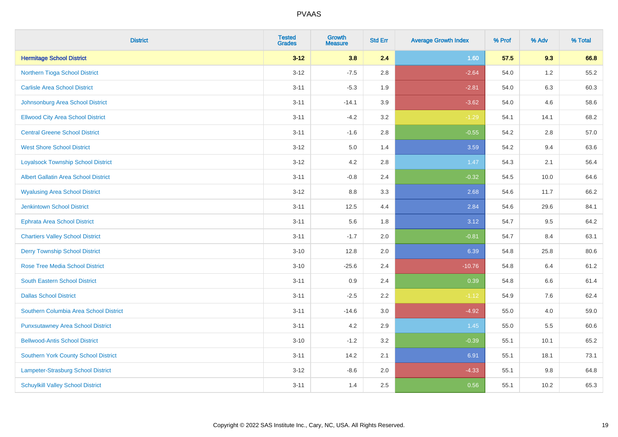| <b>District</b>                             | <b>Tested</b><br><b>Grades</b> | Growth<br><b>Measure</b> | <b>Std Err</b> | <b>Average Growth Index</b> | % Prof | % Adv   | % Total |
|---------------------------------------------|--------------------------------|--------------------------|----------------|-----------------------------|--------|---------|---------|
| <b>Hermitage School District</b>            | $3 - 12$                       | 3.8                      | 2.4            | 1.60                        | 57.5   | 9.3     | 66.8    |
| Northern Tioga School District              | $3 - 12$                       | $-7.5$                   | 2.8            | $-2.64$                     | 54.0   | $1.2\,$ | 55.2    |
| <b>Carlisle Area School District</b>        | $3 - 11$                       | $-5.3$                   | 1.9            | $-2.81$                     | 54.0   | 6.3     | 60.3    |
| Johnsonburg Area School District            | $3 - 11$                       | $-14.1$                  | 3.9            | $-3.62$                     | 54.0   | 4.6     | 58.6    |
| <b>Ellwood City Area School District</b>    | $3 - 11$                       | $-4.2$                   | 3.2            | $-1.29$                     | 54.1   | 14.1    | 68.2    |
| <b>Central Greene School District</b>       | $3 - 11$                       | $-1.6$                   | 2.8            | $-0.55$                     | 54.2   | 2.8     | 57.0    |
| <b>West Shore School District</b>           | $3-12$                         | 5.0                      | 1.4            | 3.59                        | 54.2   | 9.4     | 63.6    |
| <b>Loyalsock Township School District</b>   | $3-12$                         | 4.2                      | 2.8            | 1.47                        | 54.3   | 2.1     | 56.4    |
| <b>Albert Gallatin Area School District</b> | $3 - 11$                       | $-0.8$                   | 2.4            | $-0.32$                     | 54.5   | 10.0    | 64.6    |
| <b>Wyalusing Area School District</b>       | $3 - 12$                       | 8.8                      | 3.3            | 2.68                        | 54.6   | 11.7    | 66.2    |
| <b>Jenkintown School District</b>           | $3 - 11$                       | 12.5                     | 4.4            | 2.84                        | 54.6   | 29.6    | 84.1    |
| <b>Ephrata Area School District</b>         | $3 - 11$                       | 5.6                      | 1.8            | 3.12                        | 54.7   | 9.5     | 64.2    |
| <b>Chartiers Valley School District</b>     | $3 - 11$                       | $-1.7$                   | 2.0            | $-0.81$                     | 54.7   | 8.4     | 63.1    |
| <b>Derry Township School District</b>       | $3 - 10$                       | 12.8                     | 2.0            | 6.39                        | 54.8   | 25.8    | 80.6    |
| <b>Rose Tree Media School District</b>      | $3 - 10$                       | $-25.6$                  | 2.4            | $-10.76$                    | 54.8   | 6.4     | 61.2    |
| <b>South Eastern School District</b>        | $3 - 11$                       | 0.9                      | 2.4            | 0.39                        | 54.8   | $6.6\,$ | 61.4    |
| <b>Dallas School District</b>               | $3 - 11$                       | $-2.5$                   | 2.2            | $-1.12$                     | 54.9   | 7.6     | 62.4    |
| Southern Columbia Area School District      | $3 - 11$                       | $-14.6$                  | 3.0            | $-4.92$                     | 55.0   | 4.0     | 59.0    |
| <b>Punxsutawney Area School District</b>    | $3 - 11$                       | 4.2                      | 2.9            | 1.45                        | 55.0   | 5.5     | 60.6    |
| <b>Bellwood-Antis School District</b>       | $3 - 10$                       | $-1.2$                   | 3.2            | $-0.39$                     | 55.1   | 10.1    | 65.2    |
| <b>Southern York County School District</b> | $3 - 11$                       | 14.2                     | 2.1            | 6.91                        | 55.1   | 18.1    | 73.1    |
| Lampeter-Strasburg School District          | $3 - 12$                       | $-8.6$                   | 2.0            | $-4.33$                     | 55.1   | $9.8\,$ | 64.8    |
| <b>Schuylkill Valley School District</b>    | $3 - 11$                       | 1.4                      | 2.5            | 0.56                        | 55.1   | 10.2    | 65.3    |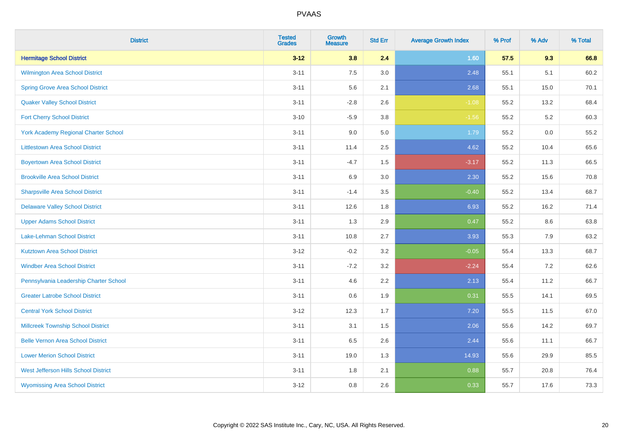| <b>District</b>                             | <b>Tested</b><br><b>Grades</b> | <b>Growth</b><br><b>Measure</b> | <b>Std Err</b> | <b>Average Growth Index</b> | % Prof | % Adv | % Total |
|---------------------------------------------|--------------------------------|---------------------------------|----------------|-----------------------------|--------|-------|---------|
| <b>Hermitage School District</b>            | $3 - 12$                       | 3.8                             | 2.4            | 1.60                        | 57.5   | 9.3   | 66.8    |
| <b>Wilmington Area School District</b>      | $3 - 11$                       | 7.5                             | 3.0            | 2.48                        | 55.1   | 5.1   | 60.2    |
| <b>Spring Grove Area School District</b>    | $3 - 11$                       | 5.6                             | 2.1            | 2.68                        | 55.1   | 15.0  | 70.1    |
| <b>Quaker Valley School District</b>        | $3 - 11$                       | $-2.8$                          | 2.6            | $-1.08$                     | 55.2   | 13.2  | 68.4    |
| <b>Fort Cherry School District</b>          | $3 - 10$                       | $-5.9$                          | 3.8            | $-1.56$                     | 55.2   | 5.2   | 60.3    |
| <b>York Academy Regional Charter School</b> | $3 - 11$                       | 9.0                             | 5.0            | 1.79                        | 55.2   | 0.0   | 55.2    |
| <b>Littlestown Area School District</b>     | $3 - 11$                       | 11.4                            | 2.5            | 4.62                        | 55.2   | 10.4  | 65.6    |
| <b>Boyertown Area School District</b>       | $3 - 11$                       | $-4.7$                          | 1.5            | $-3.17$                     | 55.2   | 11.3  | 66.5    |
| <b>Brookville Area School District</b>      | $3 - 11$                       | 6.9                             | 3.0            | 2.30                        | 55.2   | 15.6  | 70.8    |
| <b>Sharpsville Area School District</b>     | $3 - 11$                       | $-1.4$                          | 3.5            | $-0.40$                     | 55.2   | 13.4  | 68.7    |
| <b>Delaware Valley School District</b>      | $3 - 11$                       | 12.6                            | 1.8            | 6.93                        | 55.2   | 16.2  | 71.4    |
| <b>Upper Adams School District</b>          | $3 - 11$                       | 1.3                             | 2.9            | 0.47                        | 55.2   | 8.6   | 63.8    |
| Lake-Lehman School District                 | $3 - 11$                       | 10.8                            | 2.7            | 3.93                        | 55.3   | 7.9   | 63.2    |
| <b>Kutztown Area School District</b>        | $3 - 12$                       | $-0.2$                          | 3.2            | $-0.05$                     | 55.4   | 13.3  | 68.7    |
| <b>Windber Area School District</b>         | $3 - 11$                       | $-7.2$                          | 3.2            | $-2.24$                     | 55.4   | 7.2   | 62.6    |
| Pennsylvania Leadership Charter School      | $3 - 11$                       | 4.6                             | 2.2            | 2.13                        | 55.4   | 11.2  | 66.7    |
| <b>Greater Latrobe School District</b>      | $3 - 11$                       | 0.6                             | 1.9            | 0.31                        | 55.5   | 14.1  | 69.5    |
| <b>Central York School District</b>         | $3 - 12$                       | 12.3                            | 1.7            | 7.20                        | 55.5   | 11.5  | 67.0    |
| <b>Millcreek Township School District</b>   | $3 - 11$                       | 3.1                             | $1.5\,$        | 2.06                        | 55.6   | 14.2  | 69.7    |
| <b>Belle Vernon Area School District</b>    | $3 - 11$                       | 6.5                             | 2.6            | 2.44                        | 55.6   | 11.1  | 66.7    |
| <b>Lower Merion School District</b>         | $3 - 11$                       | 19.0                            | 1.3            | 14.93                       | 55.6   | 29.9  | 85.5    |
| West Jefferson Hills School District        | $3 - 11$                       | 1.8                             | 2.1            | 0.88                        | 55.7   | 20.8  | 76.4    |
| <b>Wyomissing Area School District</b>      | $3 - 12$                       | 0.8                             | 2.6            | 0.33                        | 55.7   | 17.6  | 73.3    |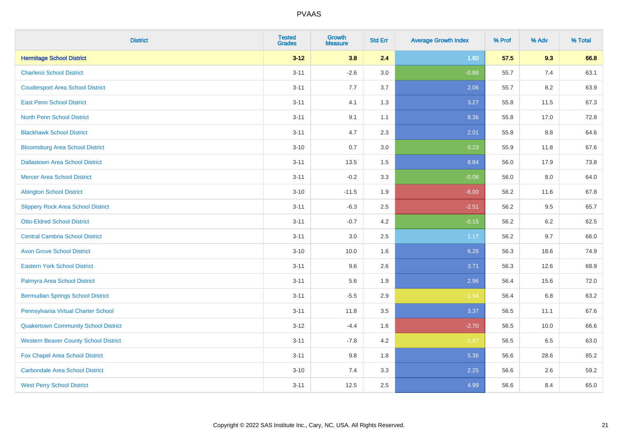| <b>District</b>                              | <b>Tested</b><br><b>Grades</b> | <b>Growth</b><br><b>Measure</b> | <b>Std Err</b> | <b>Average Growth Index</b> | % Prof | % Adv   | % Total |
|----------------------------------------------|--------------------------------|---------------------------------|----------------|-----------------------------|--------|---------|---------|
| <b>Hermitage School District</b>             | $3 - 12$                       | 3.8                             | 2.4            | 1.60                        | 57.5   | 9.3     | 66.8    |
| <b>Charleroi School District</b>             | $3 - 11$                       | $-2.6$                          | 3.0            | $-0.86$                     | 55.7   | 7.4     | 63.1    |
| <b>Coudersport Area School District</b>      | $3 - 11$                       | 7.7                             | 3.7            | 2.06                        | 55.7   | 8.2     | 63.9    |
| <b>East Penn School District</b>             | $3 - 11$                       | 4.1                             | 1.3            | 3.27                        | 55.8   | 11.5    | 67.3    |
| <b>North Penn School District</b>            | $3 - 11$                       | 9.1                             | 1.1            | 8.36                        | 55.8   | 17.0    | 72.8    |
| <b>Blackhawk School District</b>             | $3 - 11$                       | 4.7                             | 2.3            | 2.01                        | 55.8   | 8.8     | 64.6    |
| <b>Bloomsburg Area School District</b>       | $3 - 10$                       | 0.7                             | 3.0            | 0.23                        | 55.9   | 11.8    | 67.6    |
| <b>Dallastown Area School District</b>       | $3 - 11$                       | 13.5                            | 1.5            | 8.84                        | 56.0   | 17.9    | 73.8    |
| <b>Mercer Area School District</b>           | $3 - 11$                       | $-0.2$                          | 3.3            | $-0.06$                     | 56.0   | 8.0     | 64.0    |
| <b>Abington School District</b>              | $3 - 10$                       | $-11.5$                         | 1.9            | $-6.00$                     | 56.2   | 11.6    | 67.8    |
| <b>Slippery Rock Area School District</b>    | $3 - 11$                       | $-6.3$                          | 2.5            | $-2.51$                     | 56.2   | 9.5     | 65.7    |
| <b>Otto-Eldred School District</b>           | $3 - 11$                       | $-0.7$                          | 4.2            | $-0.15$                     | 56.2   | $6.2\,$ | 62.5    |
| <b>Central Cambria School District</b>       | $3 - 11$                       | $3.0\,$                         | 2.5            | 1.17                        | 56.2   | 9.7     | 66.0    |
| <b>Avon Grove School District</b>            | $3 - 10$                       | 10.0                            | 1.6            | 6.26                        | 56.3   | 18.6    | 74.9    |
| <b>Eastern York School District</b>          | $3 - 11$                       | 9.6                             | 2.6            | 3.71                        | 56.3   | 12.6    | 68.9    |
| Palmyra Area School District                 | $3 - 11$                       | 5.6                             | 1.9            | 2.96                        | 56.4   | 15.6    | 72.0    |
| <b>Bermudian Springs School District</b>     | $3 - 11$                       | $-5.5$                          | 2.9            | $-1.94$                     | 56.4   | 6.8     | 63.2    |
| Pennsylvania Virtual Charter School          | $3 - 11$                       | 11.8                            | 3.5            | 3.37                        | 56.5   | 11.1    | 67.6    |
| <b>Quakertown Community School District</b>  | $3-12$                         | $-4.4$                          | 1.6            | $-2.70$                     | 56.5   | 10.0    | 66.6    |
| <b>Western Beaver County School District</b> | $3 - 11$                       | $-7.8$                          | 4.2            | $-1.87$                     | 56.5   | 6.5     | 63.0    |
| Fox Chapel Area School District              | $3 - 11$                       | 9.8                             | 1.8            | 5.36                        | 56.6   | 28.6    | 85.2    |
| <b>Carbondale Area School District</b>       | $3 - 10$                       | 7.4                             | 3.3            | 2.25                        | 56.6   | 2.6     | 59.2    |
| <b>West Perry School District</b>            | $3 - 11$                       | 12.5                            | 2.5            | 4.99                        | 56.6   | 8.4     | 65.0    |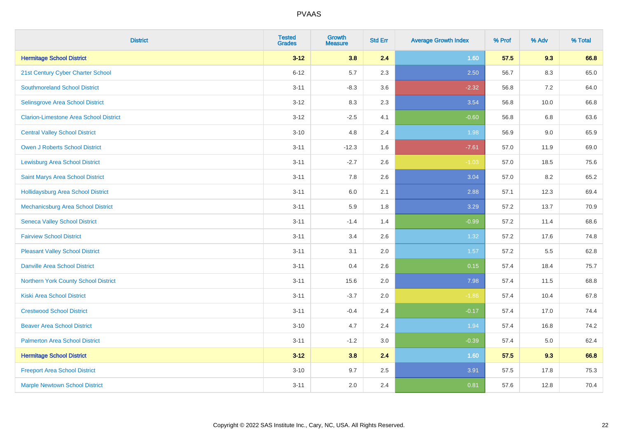| <b>District</b>                               | <b>Tested</b><br><b>Grades</b> | <b>Growth</b><br><b>Measure</b> | <b>Std Err</b> | <b>Average Growth Index</b> | % Prof | % Adv   | % Total |
|-----------------------------------------------|--------------------------------|---------------------------------|----------------|-----------------------------|--------|---------|---------|
| <b>Hermitage School District</b>              | $3 - 12$                       | 3.8                             | 2.4            | 1.60                        | 57.5   | 9.3     | 66.8    |
| 21st Century Cyber Charter School             | $6 - 12$                       | $5.7\,$                         | 2.3            | 2.50                        | 56.7   | $8.3\,$ | 65.0    |
| <b>Southmoreland School District</b>          | $3 - 11$                       | $-8.3$                          | 3.6            | $-2.32$                     | 56.8   | 7.2     | 64.0    |
| Selinsgrove Area School District              | $3 - 12$                       | 8.3                             | 2.3            | 3.54                        | 56.8   | 10.0    | 66.8    |
| <b>Clarion-Limestone Area School District</b> | $3 - 12$                       | $-2.5$                          | 4.1            | $-0.60$                     | 56.8   | 6.8     | 63.6    |
| <b>Central Valley School District</b>         | $3 - 10$                       | 4.8                             | 2.4            | 1.98                        | 56.9   | 9.0     | 65.9    |
| Owen J Roberts School District                | $3 - 11$                       | $-12.3$                         | 1.6            | $-7.61$                     | 57.0   | 11.9    | 69.0    |
| <b>Lewisburg Area School District</b>         | $3 - 11$                       | $-2.7$                          | 2.6            | $-1.03$                     | 57.0   | 18.5    | 75.6    |
| Saint Marys Area School District              | $3 - 11$                       | 7.8                             | 2.6            | 3.04                        | 57.0   | 8.2     | 65.2    |
| <b>Hollidaysburg Area School District</b>     | $3 - 11$                       | 6.0                             | 2.1            | 2.88                        | 57.1   | 12.3    | 69.4    |
| Mechanicsburg Area School District            | $3 - 11$                       | 5.9                             | 1.8            | 3.29                        | 57.2   | 13.7    | 70.9    |
| <b>Seneca Valley School District</b>          | $3 - 11$                       | $-1.4$                          | 1.4            | $-0.99$                     | 57.2   | 11.4    | 68.6    |
| <b>Fairview School District</b>               | $3 - 11$                       | 3.4                             | 2.6            | 1.32                        | 57.2   | 17.6    | 74.8    |
| <b>Pleasant Valley School District</b>        | $3 - 11$                       | 3.1                             | 2.0            | 1.57                        | 57.2   | 5.5     | 62.8    |
| <b>Danville Area School District</b>          | $3 - 11$                       | 0.4                             | 2.6            | 0.15                        | 57.4   | 18.4    | 75.7    |
| Northern York County School District          | $3 - 11$                       | 15.6                            | 2.0            | 7.98                        | 57.4   | 11.5    | 68.8    |
| <b>Kiski Area School District</b>             | $3 - 11$                       | $-3.7$                          | 2.0            | $-1.86$                     | 57.4   | 10.4    | 67.8    |
| <b>Crestwood School District</b>              | $3 - 11$                       | $-0.4$                          | 2.4            | $-0.17$                     | 57.4   | 17.0    | 74.4    |
| <b>Beaver Area School District</b>            | $3 - 10$                       | 4.7                             | 2.4            | 1.94                        | 57.4   | 16.8    | 74.2    |
| <b>Palmerton Area School District</b>         | $3 - 11$                       | $-1.2$                          | 3.0            | $-0.39$                     | 57.4   | 5.0     | 62.4    |
| <b>Hermitage School District</b>              | $3 - 12$                       | 3.8                             | 2.4            | 1.60                        | 57.5   | 9.3     | 66.8    |
| <b>Freeport Area School District</b>          | $3 - 10$                       | 9.7                             | 2.5            | 3.91                        | 57.5   | 17.8    | 75.3    |
| <b>Marple Newtown School District</b>         | $3 - 11$                       | 2.0                             | 2.4            | 0.81                        | 57.6   | 12.8    | 70.4    |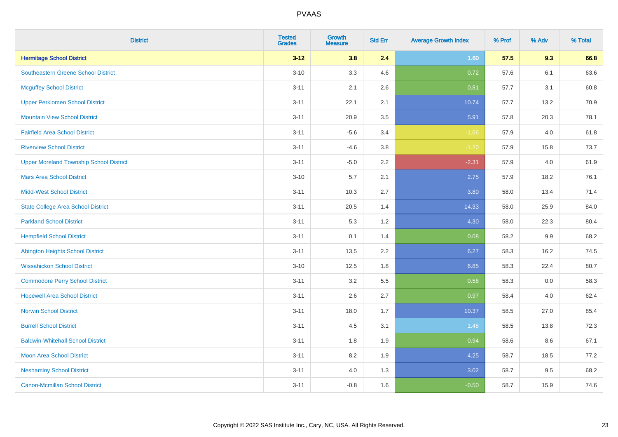| <b>District</b>                                | <b>Tested</b><br><b>Grades</b> | <b>Growth</b><br><b>Measure</b> | <b>Std Err</b> | <b>Average Growth Index</b> | % Prof | % Adv   | % Total |
|------------------------------------------------|--------------------------------|---------------------------------|----------------|-----------------------------|--------|---------|---------|
| <b>Hermitage School District</b>               | $3 - 12$                       | 3.8                             | 2.4            | 1.60                        | 57.5   | 9.3     | 66.8    |
| <b>Southeastern Greene School District</b>     | $3 - 10$                       | 3.3                             | 4.6            | 0.72                        | 57.6   | 6.1     | 63.6    |
| <b>Mcguffey School District</b>                | $3 - 11$                       | 2.1                             | 2.6            | 0.81                        | 57.7   | 3.1     | 60.8    |
| <b>Upper Perkiomen School District</b>         | $3 - 11$                       | 22.1                            | 2.1            | 10.74                       | 57.7   | 13.2    | 70.9    |
| <b>Mountain View School District</b>           | $3 - 11$                       | 20.9                            | 3.5            | 5.91                        | 57.8   | 20.3    | 78.1    |
| <b>Fairfield Area School District</b>          | $3 - 11$                       | $-5.6$                          | 3.4            | $-1.66$                     | 57.9   | 4.0     | 61.8    |
| <b>Riverview School District</b>               | $3 - 11$                       | $-4.6$                          | 3.8            | $-1.20$                     | 57.9   | 15.8    | 73.7    |
| <b>Upper Moreland Township School District</b> | $3 - 11$                       | $-5.0$                          | 2.2            | $-2.31$                     | 57.9   | 4.0     | 61.9    |
| <b>Mars Area School District</b>               | $3 - 10$                       | 5.7                             | 2.1            | 2.75                        | 57.9   | 18.2    | 76.1    |
| <b>Midd-West School District</b>               | $3 - 11$                       | 10.3                            | 2.7            | 3.80                        | 58.0   | 13.4    | 71.4    |
| <b>State College Area School District</b>      | $3 - 11$                       | 20.5                            | 1.4            | 14.33                       | 58.0   | 25.9    | 84.0    |
| <b>Parkland School District</b>                | $3 - 11$                       | 5.3                             | 1.2            | 4.30                        | 58.0   | 22.3    | 80.4    |
| <b>Hempfield School District</b>               | $3 - 11$                       | 0.1                             | 1.4            | 0.08                        | 58.2   | 9.9     | 68.2    |
| <b>Abington Heights School District</b>        | $3 - 11$                       | 13.5                            | 2.2            | 6.27                        | 58.3   | 16.2    | 74.5    |
| <b>Wissahickon School District</b>             | $3 - 10$                       | 12.5                            | 1.8            | 6.85                        | 58.3   | 22.4    | 80.7    |
| <b>Commodore Perry School District</b>         | $3 - 11$                       | 3.2                             | 5.5            | 0.58                        | 58.3   | $0.0\,$ | 58.3    |
| <b>Hopewell Area School District</b>           | $3 - 11$                       | 2.6                             | 2.7            | 0.97                        | 58.4   | 4.0     | 62.4    |
| <b>Norwin School District</b>                  | $3 - 11$                       | 18.0                            | 1.7            | 10.37                       | 58.5   | 27.0    | 85.4    |
| <b>Burrell School District</b>                 | $3 - 11$                       | 4.5                             | 3.1            | 1.48                        | 58.5   | 13.8    | 72.3    |
| <b>Baldwin-Whitehall School District</b>       | $3 - 11$                       | 1.8                             | 1.9            | 0.94                        | 58.6   | 8.6     | 67.1    |
| <b>Moon Area School District</b>               | $3 - 11$                       | 8.2                             | 1.9            | 4.25                        | 58.7   | 18.5    | 77.2    |
| <b>Neshaminy School District</b>               | $3 - 11$                       | 4.0                             | 1.3            | 3.02                        | 58.7   | 9.5     | 68.2    |
| <b>Canon-Mcmillan School District</b>          | $3 - 11$                       | $-0.8$                          | 1.6            | $-0.50$                     | 58.7   | 15.9    | 74.6    |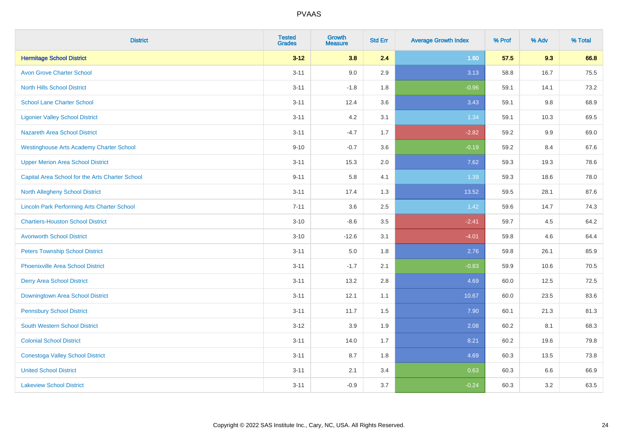| <b>District</b>                                    | <b>Tested</b><br><b>Grades</b> | <b>Growth</b><br><b>Measure</b> | <b>Std Err</b> | <b>Average Growth Index</b> | % Prof | % Adv   | % Total |
|----------------------------------------------------|--------------------------------|---------------------------------|----------------|-----------------------------|--------|---------|---------|
| <b>Hermitage School District</b>                   | $3 - 12$                       | 3.8                             | 2.4            | 1.60                        | 57.5   | 9.3     | 66.8    |
| <b>Avon Grove Charter School</b>                   | $3 - 11$                       | 9.0                             | 2.9            | 3.13                        | 58.8   | 16.7    | 75.5    |
| <b>North Hills School District</b>                 | $3 - 11$                       | $-1.8$                          | 1.8            | $-0.96$                     | 59.1   | 14.1    | 73.2    |
| <b>School Lane Charter School</b>                  | $3 - 11$                       | 12.4                            | 3.6            | 3.43                        | 59.1   | $9.8\,$ | 68.9    |
| <b>Ligonier Valley School District</b>             | $3 - 11$                       | 4.2                             | 3.1            | 1.34                        | 59.1   | 10.3    | 69.5    |
| <b>Nazareth Area School District</b>               | $3 - 11$                       | $-4.7$                          | 1.7            | $-2.82$                     | 59.2   | 9.9     | 69.0    |
| <b>Westinghouse Arts Academy Charter School</b>    | $9 - 10$                       | $-0.7$                          | 3.6            | $-0.19$                     | 59.2   | 8.4     | 67.6    |
| <b>Upper Merion Area School District</b>           | $3 - 11$                       | 15.3                            | 2.0            | 7.62                        | 59.3   | 19.3    | 78.6    |
| Capital Area School for the Arts Charter School    | $9 - 11$                       | 5.8                             | 4.1            | 1.39                        | 59.3   | 18.6    | 78.0    |
| North Allegheny School District                    | $3 - 11$                       | 17.4                            | 1.3            | 13.52                       | 59.5   | 28.1    | 87.6    |
| <b>Lincoln Park Performing Arts Charter School</b> | $7 - 11$                       | 3.6                             | 2.5            | 1.42                        | 59.6   | 14.7    | 74.3    |
| <b>Chartiers-Houston School District</b>           | $3 - 10$                       | $-8.6$                          | 3.5            | $-2.41$                     | 59.7   | 4.5     | 64.2    |
| <b>Avonworth School District</b>                   | $3 - 10$                       | $-12.6$                         | 3.1            | $-4.01$                     | 59.8   | 4.6     | 64.4    |
| <b>Peters Township School District</b>             | $3 - 11$                       | 5.0                             | 1.8            | 2.76                        | 59.8   | 26.1    | 85.9    |
| <b>Phoenixville Area School District</b>           | $3 - 11$                       | $-1.7$                          | 2.1            | $-0.83$                     | 59.9   | 10.6    | 70.5    |
| <b>Derry Area School District</b>                  | $3 - 11$                       | 13.2                            | 2.8            | 4.69                        | 60.0   | 12.5    | 72.5    |
| Downingtown Area School District                   | $3 - 11$                       | 12.1                            | 1.1            | 10.67                       | 60.0   | 23.5    | 83.6    |
| <b>Pennsbury School District</b>                   | $3 - 11$                       | 11.7                            | 1.5            | 7.90                        | 60.1   | 21.3    | 81.3    |
| <b>South Western School District</b>               | $3 - 12$                       | 3.9                             | 1.9            | 2.08                        | 60.2   | 8.1     | 68.3    |
| <b>Colonial School District</b>                    | $3 - 11$                       | 14.0                            | 1.7            | 8.21                        | 60.2   | 19.6    | 79.8    |
| <b>Conestoga Valley School District</b>            | $3 - 11$                       | 8.7                             | 1.8            | 4.69                        | 60.3   | 13.5    | 73.8    |
| <b>United School District</b>                      | $3 - 11$                       | 2.1                             | 3.4            | 0.63                        | 60.3   | 6.6     | 66.9    |
| <b>Lakeview School District</b>                    | $3 - 11$                       | $-0.9$                          | 3.7            | $-0.24$                     | 60.3   | 3.2     | 63.5    |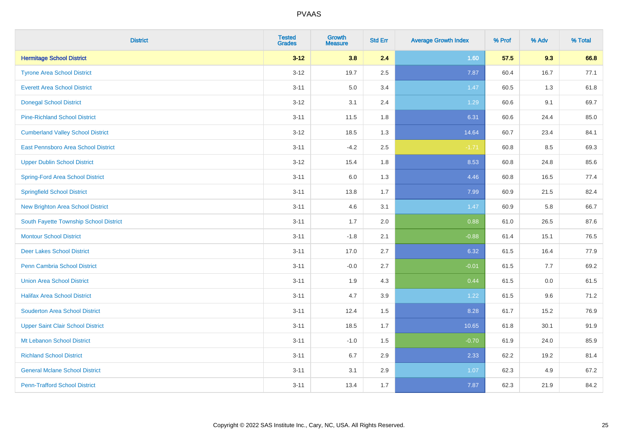| <b>District</b>                          | <b>Tested</b><br><b>Grades</b> | <b>Growth</b><br><b>Measure</b> | <b>Std Err</b> | <b>Average Growth Index</b> | % Prof | % Adv | % Total |
|------------------------------------------|--------------------------------|---------------------------------|----------------|-----------------------------|--------|-------|---------|
| <b>Hermitage School District</b>         | $3 - 12$                       | 3.8                             | 2.4            | 1.60                        | 57.5   | 9.3   | 66.8    |
| <b>Tyrone Area School District</b>       | $3 - 12$                       | 19.7                            | 2.5            | 7.87                        | 60.4   | 16.7  | 77.1    |
| <b>Everett Area School District</b>      | $3 - 11$                       | 5.0                             | 3.4            | 1.47                        | 60.5   | 1.3   | 61.8    |
| <b>Donegal School District</b>           | $3 - 12$                       | 3.1                             | 2.4            | 1.29                        | 60.6   | 9.1   | 69.7    |
| <b>Pine-Richland School District</b>     | $3 - 11$                       | 11.5                            | 1.8            | 6.31                        | 60.6   | 24.4  | 85.0    |
| <b>Cumberland Valley School District</b> | $3-12$                         | 18.5                            | 1.3            | 14.64                       | 60.7   | 23.4  | 84.1    |
| East Pennsboro Area School District      | $3 - 11$                       | $-4.2$                          | 2.5            | $-1.71$                     | 60.8   | 8.5   | 69.3    |
| <b>Upper Dublin School District</b>      | $3 - 12$                       | 15.4                            | 1.8            | 8.53                        | 60.8   | 24.8  | 85.6    |
| <b>Spring-Ford Area School District</b>  | $3 - 11$                       | 6.0                             | 1.3            | 4.46                        | 60.8   | 16.5  | 77.4    |
| <b>Springfield School District</b>       | $3 - 11$                       | 13.8                            | 1.7            | 7.99                        | 60.9   | 21.5  | 82.4    |
| <b>New Brighton Area School District</b> | $3 - 11$                       | 4.6                             | 3.1            | 1.47                        | 60.9   | 5.8   | 66.7    |
| South Fayette Township School District   | $3 - 11$                       | 1.7                             | 2.0            | 0.88                        | 61.0   | 26.5  | 87.6    |
| <b>Montour School District</b>           | $3 - 11$                       | $-1.8$                          | 2.1            | $-0.88$                     | 61.4   | 15.1  | 76.5    |
| <b>Deer Lakes School District</b>        | $3 - 11$                       | 17.0                            | 2.7            | 6.32                        | 61.5   | 16.4  | 77.9    |
| <b>Penn Cambria School District</b>      | $3 - 11$                       | $-0.0$                          | 2.7            | $-0.01$                     | 61.5   | 7.7   | 69.2    |
| <b>Union Area School District</b>        | $3 - 11$                       | 1.9                             | 4.3            | 0.44                        | 61.5   | 0.0   | 61.5    |
| <b>Halifax Area School District</b>      | $3 - 11$                       | 4.7                             | 3.9            | 1.22                        | 61.5   | 9.6   | 71.2    |
| <b>Souderton Area School District</b>    | $3 - 11$                       | 12.4                            | 1.5            | 8.28                        | 61.7   | 15.2  | 76.9    |
| <b>Upper Saint Clair School District</b> | $3 - 11$                       | 18.5                            | 1.7            | 10.65                       | 61.8   | 30.1  | 91.9    |
| Mt Lebanon School District               | $3 - 11$                       | $-1.0$                          | 1.5            | $-0.70$                     | 61.9   | 24.0  | 85.9    |
| <b>Richland School District</b>          | $3 - 11$                       | 6.7                             | 2.9            | 2.33                        | 62.2   | 19.2  | 81.4    |
| <b>General Mclane School District</b>    | $3 - 11$                       | 3.1                             | 2.9            | 1.07                        | 62.3   | 4.9   | 67.2    |
| <b>Penn-Trafford School District</b>     | $3 - 11$                       | 13.4                            | 1.7            | 7.87                        | 62.3   | 21.9  | 84.2    |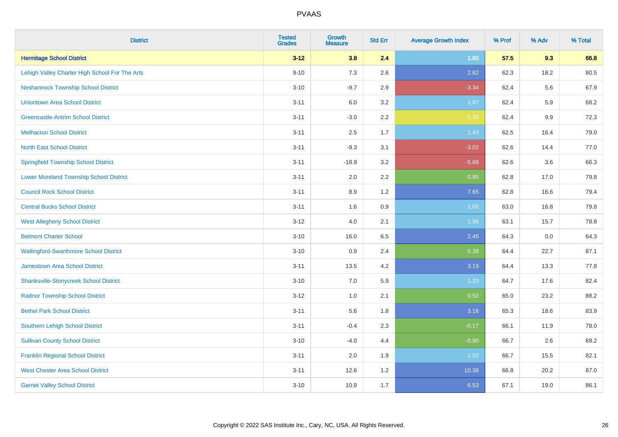| <b>District</b>                                | <b>Tested</b><br><b>Grades</b> | <b>Growth</b><br><b>Measure</b> | <b>Std Err</b> | <b>Average Growth Index</b> | % Prof | % Adv | % Total |
|------------------------------------------------|--------------------------------|---------------------------------|----------------|-----------------------------|--------|-------|---------|
| <b>Hermitage School District</b>               | $3 - 12$                       | 3.8                             | 2.4            | 1.60                        | 57.5   | 9.3   | 66.8    |
| Lehigh Valley Charter High School For The Arts | $9 - 10$                       | $7.3$                           | 2.6            | 2.82                        | 62.3   | 18.2  | 80.5    |
| <b>Neshannock Township School District</b>     | $3 - 10$                       | $-9.7$                          | 2.9            | $-3.34$                     | 62.4   | 5.6   | 67.9    |
| <b>Uniontown Area School District</b>          | $3 - 11$                       | 6.0                             | 3.2            | 1.87                        | 62.4   | 5.9   | 68.2    |
| <b>Greencastle-Antrim School District</b>      | $3 - 11$                       | $-3.0$                          | 2.2            | $-1.36$                     | 62.4   | 9.9   | 72.3    |
| <b>Methacton School District</b>               | $3 - 11$                       | 2.5                             | 1.7            | 1.43                        | 62.5   | 16.4  | 79.0    |
| <b>North East School District</b>              | $3 - 11$                       | $-9.3$                          | 3.1            | $-3.02$                     | 62.6   | 14.4  | 77.0    |
| <b>Springfield Township School District</b>    | $3 - 11$                       | $-18.9$                         | 3.2            | $-5.88$                     | 62.6   | 3.6   | 66.3    |
| <b>Lower Moreland Township School District</b> | $3 - 11$                       | 2.0                             | 2.2            | 0.95                        | 62.8   | 17.0  | 79.8    |
| <b>Council Rock School District</b>            | $3 - 11$                       | 8.9                             | 1.2            | 7.65                        | 62.8   | 16.6  | 79.4    |
| <b>Central Bucks School District</b>           | $3 - 11$                       | 1.6                             | 0.9            | 1.66                        | 63.0   | 16.8  | 79.8    |
| <b>West Allegheny School District</b>          | $3 - 12$                       | 4.0                             | 2.1            | 1.96                        | 63.1   | 15.7  | 78.8    |
| <b>Belmont Charter School</b>                  | $3 - 10$                       | 16.0                            | 6.5            | 2.45                        | 64.3   | 0.0   | 64.3    |
| <b>Wallingford-Swarthmore School District</b>  | $3 - 10$                       | 0.9                             | 2.4            | 0.38                        | 64.4   | 22.7  | 87.1    |
| <b>Jamestown Area School District</b>          | $3 - 11$                       | 13.5                            | 4.2            | 3.19                        | 64.4   | 13.3  | 77.8    |
| <b>Shanksville-Stonycreek School District</b>  | $3 - 10$                       | $7.0\,$                         | 5.9            | 1.20                        | 64.7   | 17.6  | 82.4    |
| <b>Radnor Township School District</b>         | $3 - 12$                       | 1.0                             | 2.1            | 0.50                        | 65.0   | 23.2  | 88.2    |
| <b>Bethel Park School District</b>             | $3 - 11$                       | 5.6                             | 1.8            | 3.18                        | 65.3   | 18.6  | 83.9    |
| Southern Lehigh School District                | $3 - 11$                       | $-0.4$                          | 2.3            | $-0.17$                     | 66.1   | 11.9  | 78.0    |
| <b>Sullivan County School District</b>         | $3 - 10$                       | $-4.0$                          | 4.4            | $-0.90$                     | 66.7   | 2.6   | 69.2    |
| <b>Franklin Regional School District</b>       | $3 - 11$                       | 2.0                             | 1.9            | 1.02                        | 66.7   | 15.5  | 82.1    |
| <b>West Chester Area School District</b>       | $3 - 11$                       | 12.6                            | 1.2            | 10.38                       | 66.8   | 20.2  | 87.0    |
| <b>Garnet Valley School District</b>           | $3 - 10$                       | 10.9                            | 1.7            | 6.53                        | 67.1   | 19.0  | 86.1    |